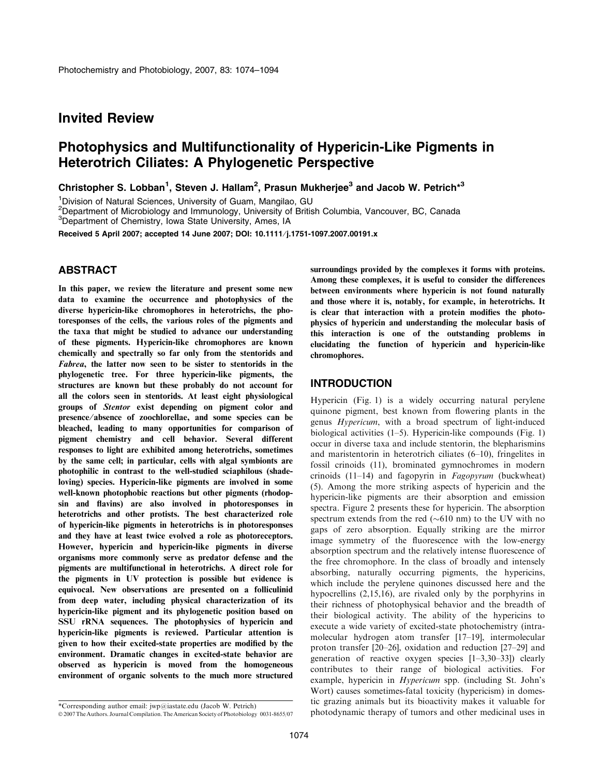# Invited Review

# Photophysics and Multifunctionality of Hypericin-Like Pigments in Heterotrich Ciliates: A Phylogenetic Perspective

Christopher S. Lobban<sup>1</sup>, Steven J. Hallam<sup>2</sup>, Prasun Mukherjee<sup>3</sup> and Jacob W. Petrich\*<sup>3</sup>

<sup>1</sup> Division of Natural Sciences, University of Guam, Mangilao, GU

<sup>2</sup>Department of Microbiology and Immunology, University of British Columbia, Vancouver, BC, Canada

<sup>3</sup>Department of Chemistry, Iowa State University, Ames, IA

Received 5 April 2007; accepted 14 June 2007; DOI: 10.1111/j.1751-1097.2007.00191.x

# ABSTRACT

In this paper, we review the literature and present some new data to examine the occurrence and photophysics of the diverse hypericin-like chromophores in heterotrichs, the photoresponses of the cells, the various roles of the pigments and the taxa that might be studied to advance our understanding of these pigments. Hypericin-like chromophores are known chemically and spectrally so far only from the stentorids and Fabrea, the latter now seen to be sister to stentorids in the phylogenetic tree. For three hypericin-like pigments, the structures are known but these probably do not account for all the colors seen in stentorids. At least eight physiological groups of Stentor exist depending on pigment color and presence ⁄ absence of zoochlorellae, and some species can be bleached, leading to many opportunities for comparison of pigment chemistry and cell behavior. Several different responses to light are exhibited among heterotrichs, sometimes by the same cell; in particular, cells with algal symbionts are photophilic in contrast to the well-studied sciaphilous (shadeloving) species. Hypericin-like pigments are involved in some well-known photophobic reactions but other pigments (rhodopsin and flavins) are also involved in photoresponses in heterotrichs and other protists. The best characterized role of hypericin-like pigments in heterotrichs is in photoresponses and they have at least twice evolved a role as photoreceptors. However, hypericin and hypericin-like pigments in diverse organisms more commonly serve as predator defense and the pigments are multifunctional in heterotrichs. A direct role for the pigments in UV protection is possible but evidence is equivocal. New observations are presented on a folliculinid from deep water, including physical characterization of its hypericin-like pigment and its phylogenetic position based on SSU rRNA sequences. The photophysics of hypericin and hypericin-like pigments is reviewed. Particular attention is given to how their excited-state properties are modified by the environment. Dramatic changes in excited-state behavior are observed as hypericin is moved from the homogeneous environment of organic solvents to the much more structured

© 2007 The Authors. Journal Compilation. The American Society of Photobiology 0031-8655/07

surroundings provided by the complexes it forms with proteins. Among these complexes, it is useful to consider the differences between environments where hypericin is not found naturally and those where it is, notably, for example, in heterotrichs. It is clear that interaction with a protein modifies the photophysics of hypericin and understanding the molecular basis of this interaction is one of the outstanding problems in elucidating the function of hypericin and hypericin-like chromophores.

# INTRODUCTION

Hypericin (Fig. 1) is a widely occurring natural perylene quinone pigment, best known from flowering plants in the genus *Hypericum*, with a broad spectrum of light-induced biological activities (1–5). Hypericin-like compounds (Fig. 1) occur in diverse taxa and include stentorin, the blepharismins and maristentorin in heterotrich ciliates (6–10), fringelites in fossil crinoids (11), brominated gymnochromes in modern crinoids (11–14) and fagopyrin in *Fagopyrum* (buckwheat) (5). Among the more striking aspects of hypericin and the hypericin-like pigments are their absorption and emission spectra. Figure 2 presents these for hypericin. The absorption spectrum extends from the red  $(\sim 610 \text{ nm})$  to the UV with no gaps of zero absorption. Equally striking are the mirror image symmetry of the fluorescence with the low-energy absorption spectrum and the relatively intense fluorescence of the free chromophore. In the class of broadly and intensely absorbing, naturally occurring pigments, the hypericins, which include the perylene quinones discussed here and the hypocrellins (2,15,16), are rivaled only by the porphyrins in their richness of photophysical behavior and the breadth of their biological activity. The ability of the hypericins to execute a wide variety of excited-state photochemistry (intramolecular hydrogen atom transfer [17–19], intermolecular proton transfer [20–26], oxidation and reduction [27–29] and generation of reactive oxygen species [1–3,30–33]) clearly contributes to their range of biological activities. For example, hypericin in *Hypericum* spp. (including St. John's Wort) causes sometimes-fatal toxicity (hypericism) in domestic grazing animals but its bioactivity makes it valuable for photodynamic therapy of tumors and other medicinal uses in

<sup>\*</sup>Corresponding author email: jwp@iastate.edu (Jacob W. Petrich)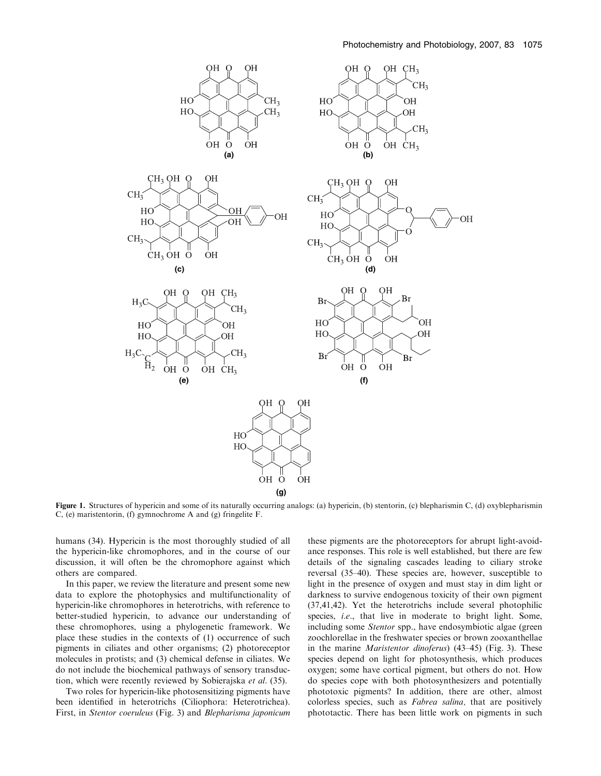

Figure 1. Structures of hypericin and some of its naturally occurring analogs: (a) hypericin, (b) stentorin, (c) blepharismin C, (d) oxyblepharismin C, (e) maristentorin, (f) gymnochrome A and (g) fringelite F.

humans (34). Hypericin is the most thoroughly studied of all the hypericin-like chromophores, and in the course of our discussion, it will often be the chromophore against which others are compared.

In this paper, we review the literature and present some new data to explore the photophysics and multifunctionality of hypericin-like chromophores in heterotrichs, with reference to better-studied hypericin, to advance our understanding of these chromophores, using a phylogenetic framework. We place these studies in the contexts of (1) occurrence of such pigments in ciliates and other organisms; (2) photoreceptor molecules in protists; and (3) chemical defense in ciliates. We do not include the biochemical pathways of sensory transduction, which were recently reviewed by Sobierajska *et al.* (35).

Two roles for hypericin-like photosensitizing pigments have been identified in heterotrichs (Ciliophora: Heterotrichea). First, in *Stentor coeruleus* (Fig. 3) and *Blepharisma japonicum*

these pigments are the photoreceptors for abrupt light-avoidance responses. This role is well established, but there are few details of the signaling cascades leading to ciliary stroke reversal (35–40). These species are, however, susceptible to light in the presence of oxygen and must stay in dim light or darkness to survive endogenous toxicity of their own pigment (37,41,42). Yet the heterotrichs include several photophilic species, *i.e.*, that live in moderate to bright light. Some, including some *Stentor* spp., have endosymbiotic algae (green zoochlorellae in the freshwater species or brown zooxanthellae in the marine *Maristentor dinoferus*) (43–45) (Fig. 3). These species depend on light for photosynthesis, which produces oxygen; some have cortical pigment, but others do not. How do species cope with both photosynthesizers and potentially phototoxic pigments? In addition, there are other, almost colorless species, such as *Fabrea salina,* that are positively phototactic. There has been little work on pigments in such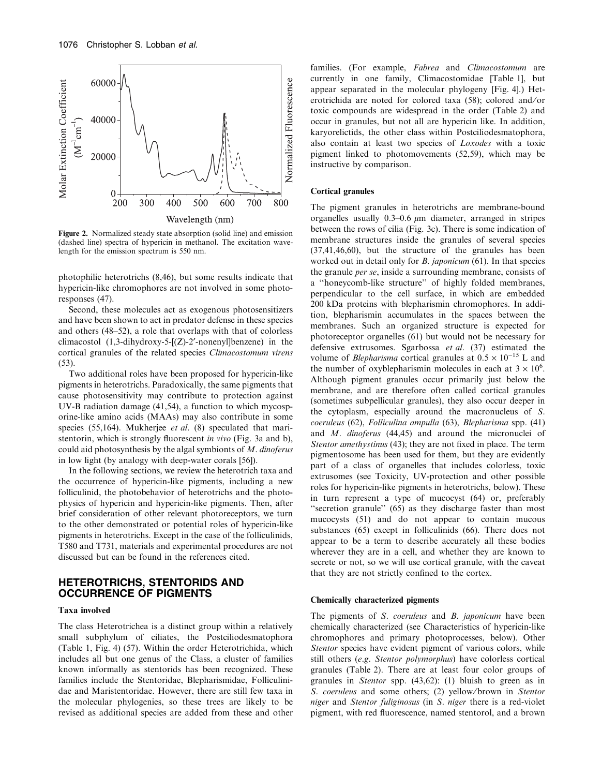

Figure 2. Normalized steady state absorption (solid line) and emission (dashed line) spectra of hypericin in methanol. The excitation wavelength for the emission spectrum is 550 nm.

photophilic heterotrichs (8,46), but some results indicate that hypericin-like chromophores are not involved in some photoresponses (47).

Second, these molecules act as exogenous photosensitizers and have been shown to act in predator defense in these species and others (48–52), a role that overlaps with that of colorless climacostol  $(1,3$ -dihydroxy-5- $[(Z)-2]$ -nonenyl]benzene) in the cortical granules of the related species *Climacostomum virens* (53).

Two additional roles have been proposed for hypericin-like pigments in heterotrichs. Paradoxically, the same pigments that cause photosensitivity may contribute to protection against UV-B radiation damage (41,54), a function to which mycosporine-like amino acids (MAAs) may also contribute in some species (55,164). Mukherjee *et al.* (8) speculated that maristentorin, which is strongly fluorescent *in vivo* (Fig. 3a and b), could aid photosynthesis by the algal symbionts of *M. dinoferus* in low light (by analogy with deep-water corals [56]).

In the following sections, we review the heterotrich taxa and the occurrence of hypericin-like pigments, including a new folliculinid, the photobehavior of heterotrichs and the photophysics of hypericin and hypericin-like pigments. Then, after brief consideration of other relevant photoreceptors, we turn to the other demonstrated or potential roles of hypericin-like pigments in heterotrichs. Except in the case of the folliculinids, T580 and T731, materials and experimental procedures are not discussed but can be found in the references cited.

# HETEROTRICHS, STENTORIDS AND OCCURRENCE OF PIGMENTS

### Taxa involved

The class Heterotrichea is a distinct group within a relatively small subphylum of ciliates, the Postciliodesmatophora (Table 1, Fig. 4) (57). Within the order Heterotrichida, which includes all but one genus of the Class, a cluster of families known informally as stentorids has been recognized. These families include the Stentoridae, Blepharismidae, Folliculinidae and Maristentoridae. However, there are still few taxa in the molecular phylogenies, so these trees are likely to be revised as additional species are added from these and other families. (For example, *Fabrea* and *Climacostomum* are currently in one family, Climacostomidae [Table 1], but appear separated in the molecular phylogeny [Fig. 4].) Heterotrichida are noted for colored taxa (58); colored and/or toxic compounds are widespread in the order (Table 2) and occur in granules, but not all are hypericin like. In addition, karyorelictids, the other class within Postciliodesmatophora, also contain at least two species of *Loxodes* with a toxic pigment linked to photomovements (52,59), which may be instructive by comparison.

### Cortical granules

The pigment granules in heterotrichs are membrane-bound organelles usually  $0.3-0.6 \mu m$  diameter, arranged in stripes between the rows of cilia (Fig. 3c). There is some indication of membrane structures inside the granules of several species (37,41,46,60), but the structure of the granules has been worked out in detail only for *B. japonicum* (61). In that species the granule *per se*, inside a surrounding membrane, consists of a ''honeycomb-like structure'' of highly folded membranes, perpendicular to the cell surface, in which are embedded 200 kDa proteins with blepharismin chromophores. In addition, blepharismin accumulates in the spaces between the membranes. Such an organized structure is expected for photoreceptor organelles (61) but would not be necessary for defensive extrusomes. Sgarbossa *et al.* (37) estimated the volume of *Blepharisma* cortical granules at  $0.5 \times 10^{-15}$  L and the number of oxyblepharismin molecules in each at  $3 \times 10^6$ . Although pigment granules occur primarily just below the membrane, and are therefore often called cortical granules (sometimes subpellicular granules), they also occur deeper in the cytoplasm, especially around the macronucleus of *S. coeruleus* (62), *Folliculina ampulla* (63), *Blepharisma* spp. (41) and *M. dinoferus* (44,45) and around the micronuclei of *Stentor amethystinus* (43); they are not fixed in place. The term pigmentosome has been used for them, but they are evidently part of a class of organelles that includes colorless, toxic extrusomes (see Toxicity, UV-protection and other possible roles for hypericin-like pigments in heterotrichs, below). These in turn represent a type of mucocyst (64) or, preferably "secretion granule" (65) as they discharge faster than most mucocysts (51) and do not appear to contain mucous substances (65) except in folliculinids (66). There does not appear to be a term to describe accurately all these bodies wherever they are in a cell, and whether they are known to secrete or not, so we will use cortical granule, with the caveat that they are not strictly confined to the cortex.

#### Chemically characterized pigments

The pigments of *S. coeruleus* and *B. japonicum* have been chemically characterized (see Characteristics of hypericin-like chromophores and primary photoprocesses, below). Other *Stentor* species have evident pigment of various colors, while still others (*e.g. Stentor polymorphus*) have colorless cortical granules (Table 2). There are at least four color groups of granules in *Stentor* spp. (43,62): (1) bluish to green as in *S. coeruleus* and some others; (2) yellow ⁄ brown in *Stentor niger* and *Stentor fuliginosus* (in *S. niger* there is a red-violet pigment, with red fluorescence, named stentorol, and a brown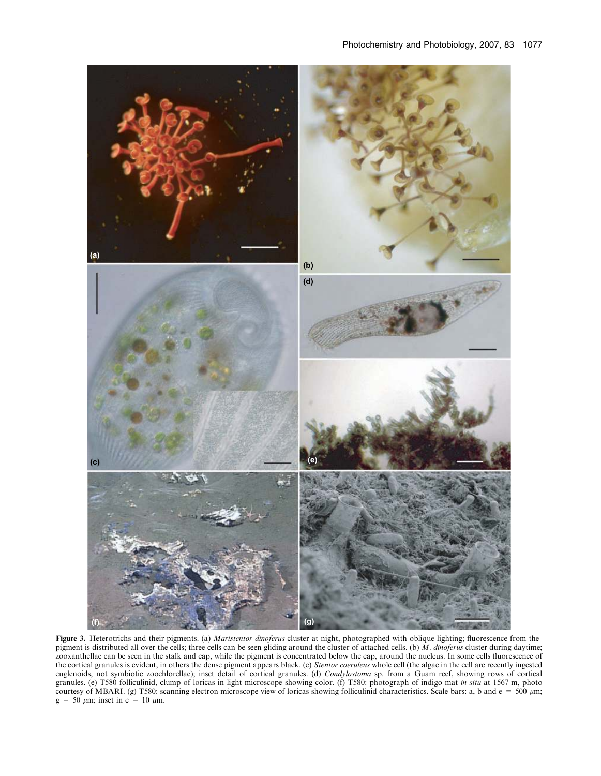

Figure 3. Heterotrichs and their pigments. (a) *Maristentor dinoferus* cluster at night, photographed with oblique lighting; fluorescence from the pigment is distributed all over the cells; three cells can be seen gliding around the cluster of attached cells. (b) *M. dinoferus* cluster during daytime; zooxanthellae can be seen in the stalk and cap, while the pigment is concentrated below the cap, around the nucleus. In some cells fluorescence of the cortical granules is evident, in others the dense pigment appears black. (c) *Stentor coeruleus* whole cell (the algae in the cell are recently ingested euglenoids, not symbiotic zoochlorellae); inset detail of cortical granules. (d) *Condylostoma* sp. from a Guam reef, showing rows of cortical granules. (e) T580 folliculinid, clump of loricas in light microscope showing color. (f) T580: photograph of indigo mat *in situ* at 1567 m, photo courtesy of MBARI. (g) T580: scanning electron microscope view of loricas showing folliculinid characteristics. Scale bars: a, b and e = 500  $\mu$ m;  $g = 50 \mu m$ ; inset in c = 10  $\mu$ m.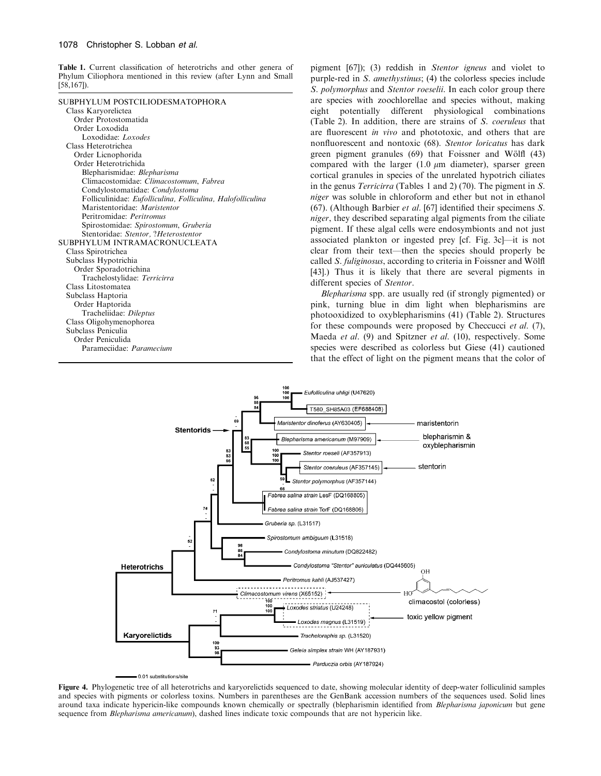Table 1. Current classification of heterotrichs and other genera of Phylum Ciliophora mentioned in this review (after Lynn and Small [58,167]).

| SUBPHYLUM POSTCILIODESMATOPHORA                             |
|-------------------------------------------------------------|
| Class Karyorelictea                                         |
| Order Protostomatida                                        |
| Order Loxodida                                              |
| Loxodidae: Loxodes                                          |
| Class Heterotrichea                                         |
| Order Licnophorida                                          |
| Order Heterotrichida                                        |
| Blepharismidae: Blepharisma                                 |
| Climacostomidae: Climacostomum, Fabrea                      |
| Condylostomatidae: Condylostoma                             |
| Folliculinidae: Eufolliculina, Folliculina, Halofolliculina |
| Maristentoridae: Maristentor                                |
| Peritromidae: Peritromus                                    |
| Spirostomidae: Spirostomum, Gruberia                        |
| Stentoridae: Stentor, ?Heterostentor                        |
| SUBPHYLUM INTRAMACRONUCLEATA                                |
| Class Spirotrichea                                          |
| Subclass Hypotrichia                                        |
| Order Sporadotrichina                                       |
| Trachelostylidae: Terricirra                                |
| Class Litostomatea                                          |
| Subclass Haptoria                                           |
| Order Haptorida                                             |
| Tracheliidae: Dileptus                                      |
| Class Oligohymenophorea                                     |
| Subclass Peniculia                                          |
| Order Peniculida                                            |
| Parameciidae: Paramecium                                    |
|                                                             |

pigment [67]); (3) reddish in *Stentor igneus* and violet to purple-red in *S. amethystinus*; (4) the colorless species include *S. polymorphus* and *Stentor roeselii*. In each color group there are species with zoochlorellae and species without, making eight potentially different physiological combinations (Table 2). In addition, there are strains of *S. coeruleus* that are fluorescent *in vivo* and phototoxic, and others that are nonfluorescent and nontoxic (68). *Stentor loricatus* has dark green pigment granules  $(69)$  that Foissner and Wölfl  $(43)$ compared with the larger  $(1.0 \mu m)$  diameter), sparser green cortical granules in species of the unrelated hypotrich ciliates in the genus *Terricirra* (Tables 1 and 2) (70). The pigment in *S. niger* was soluble in chloroform and ether but not in ethanol (67). (Although Barbier *et al.* [67] identified their specimens *S. niger*, they described separating algal pigments from the ciliate pigment. If these algal cells were endosymbionts and not just associated plankton or ingested prey [cf. Fig. 3c]—it is not clear from their text—then the species should properly be called *S. fuliginosus*, according to criteria in Foissner and Wölfl [43].) Thus it is likely that there are several pigments in different species of *Stentor*.

*Blepharisma* spp. are usually red (if strongly pigmented) or pink, turning blue in dim light when blepharismins are photooxidized to oxyblepharismins (41) (Table 2). Structures for these compounds were proposed by Checcucci *et al.* (7), Maeda *et al.* (9) and Spitzner *et al.* (10), respectively. Some species were described as colorless but Giese (41) cautioned that the effect of light on the pigment means that the color of



Figure 4. Phylogenetic tree of all heterotrichs and karyorelictids sequenced to date, showing molecular identity of deep-water folliculinid samples and species with pigments or colorless toxins. Numbers in parentheses are the GenBank accession numbers of the sequences used. Solid lines around taxa indicate hypericin-like compounds known chemically or spectrally (blepharismin identified from *Blepharisma japonicum* but gene sequence from *Blepharisma americanum*), dashed lines indicate toxic compounds that are not hypericin like.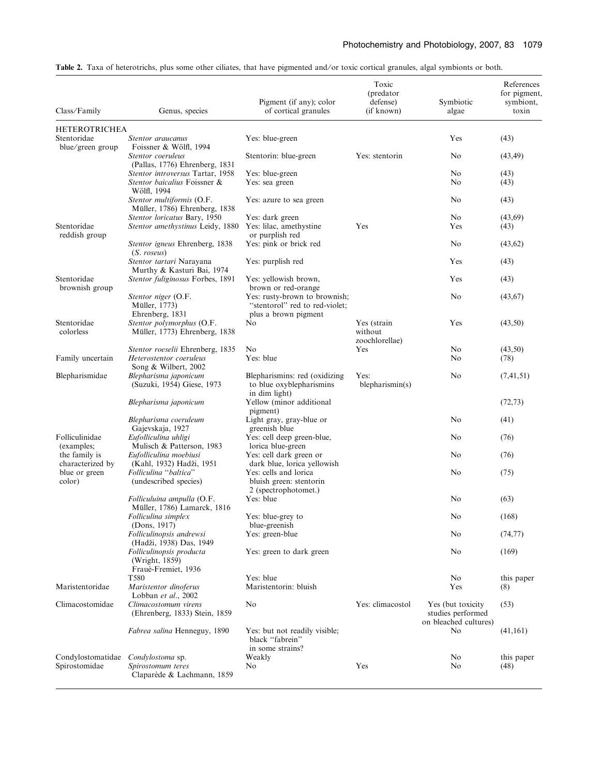| Class/Family                      | Genus, species                                                                  | Pigment (if any); color<br>of cortical granules                                         | Toxic<br>(predator<br>defense)<br>(if known) | Symbiotic<br>algae                                              | References<br>for pigment,<br>symbiont,<br>toxin |
|-----------------------------------|---------------------------------------------------------------------------------|-----------------------------------------------------------------------------------------|----------------------------------------------|-----------------------------------------------------------------|--------------------------------------------------|
| <b>HETEROTRICHEA</b>              |                                                                                 |                                                                                         |                                              |                                                                 |                                                  |
| Stentoridae<br>blue/green group   | Stentor araucanus<br>Foissner & Wölfl, 1994                                     | Yes: blue-green                                                                         |                                              | Yes                                                             | (43)                                             |
|                                   | Stentor coeruleus<br>(Pallas, 1776) Ehrenberg, 1831                             | Stentorin: blue-green                                                                   | Yes: stentorin                               | No                                                              | (43, 49)                                         |
|                                   | Stentor introversus Tartar, 1958<br>Stentor baicalius Foissner &<br>Wölfl, 1994 | Yes: blue-green<br>Yes: sea green                                                       |                                              | No<br>No                                                        | (43)<br>(43)                                     |
|                                   | Stentor multiformis (O.F.<br>Müller, 1786) Ehrenberg, 1838                      | Yes: azure to sea green                                                                 |                                              | No                                                              | (43)                                             |
| Stentoridae<br>reddish group      | Stentor loricatus Bary, 1950<br>Stentor amethystinus Leidy, 1880                | Yes: dark green<br>Yes: lilac, amethystine<br>or purplish red                           | Yes                                          | No<br>Yes                                                       | (43,69)<br>(43)                                  |
|                                   | Stentor igneus Ehrenberg, 1838<br>$(S. \; \text{roseus})$                       | Yes: pink or brick red                                                                  |                                              | No                                                              | (43,62)                                          |
|                                   | Stentor tartari Narayana<br>Murthy & Kasturi Bai, 1974                          | Yes: purplish red                                                                       |                                              | Yes                                                             | (43)                                             |
| Stentoridae<br>brownish group     | Stentor fuliginosus Forbes, 1891                                                | Yes: yellowish brown,<br>brown or red-orange                                            |                                              | Yes                                                             | (43)                                             |
|                                   | Stentor niger (O.F.<br>Müller, 1773)<br>Ehrenberg, 1831                         | Yes: rusty-brown to brownish;<br>"stentorol" red to red-violet;<br>plus a brown pigment |                                              | No                                                              | (43,67)                                          |
| Stentoridae<br>colorless          | Stentor polymorphus (O.F.<br>Müller, 1773) Ehrenberg, 1838                      | No                                                                                      | Yes (strain<br>without<br>zoochlorellae)     | Yes                                                             | (43,50)                                          |
| Family uncertain                  | <i>Stentor roeselii</i> Ehrenberg, 1835<br>Heterostentor coeruleus              | No<br>Yes: blue                                                                         | Yes                                          | No<br>No                                                        | (43,50)<br>(78)                                  |
| Blepharismidae                    | Song & Wilbert, 2002<br>Blepharisma japonicum<br>(Suzuki, 1954) Giese, 1973     | Blepharismins: red (oxidizing<br>to blue oxyblepharismins                               | Yes:<br>blepharismin(s)                      | No                                                              | (7, 41, 51)                                      |
|                                   | Blepharisma japonicum                                                           | in dim light)<br>Yellow (minor additional<br>pigment)                                   |                                              |                                                                 | (72, 73)                                         |
|                                   | Blepharisma coeruleum<br>Gajevskaja, 1927                                       | Light gray, gray-blue or<br>greenish blue                                               |                                              | No                                                              | (41)                                             |
| Folliculinidae<br>(examples;      | Eufolliculina uhligi<br>Mulisch & Patterson, 1983                               | Yes: cell deep green-blue,<br>lorica blue-green                                         |                                              | No                                                              | (76)                                             |
| the family is<br>characterized by | Eufolliculina moebiusi<br>(Kahl, 1932) Hadži, 1951                              | Yes: cell dark green or<br>dark blue, lorica yellowish                                  |                                              | No                                                              | (76)                                             |
| blue or green<br>color)           | Folliculina "baltica"<br>(undescribed species)                                  | Yes: cells and lorica<br>bluish green: stentorin<br>2 (spectrophotomet.)                |                                              | No                                                              | (75)                                             |
|                                   | Folliculuina ampulla (O.F.<br>Müller, 1786) Lamarck, 1816                       | Yes: blue                                                                               |                                              | No                                                              | (63)                                             |
|                                   | Folliculina simplex<br>(Dons, 1917)                                             | Yes: blue-grey to<br>blue-greenish                                                      |                                              | No                                                              | (168)                                            |
|                                   | Folliculinopsis andrewsi<br>(Hadži, 1938) Das, 1949                             | Yes: green-blue                                                                         |                                              | No                                                              | (74, 77)                                         |
|                                   | Folliculinopsis producta<br>(Wright, 1859)<br>Fraué-Fremiet, 1936               | Yes: green to dark green                                                                |                                              | No                                                              | (169)                                            |
|                                   | T580                                                                            | Yes: blue                                                                               |                                              | No                                                              | this paper                                       |
| Maristentoridae                   | Maristentor dinoferus<br>Lobban et al., 2002                                    | Maristentorin: bluish                                                                   |                                              | Yes                                                             | (8)                                              |
| Climacostomidae                   | Climacostomum virens<br>(Ehrenberg, 1833) Stein, 1859                           | No                                                                                      | Yes: climacostol                             | Yes (but toxicity<br>studies performed<br>on bleached cultures) | (53)                                             |
|                                   | Fabrea salina Henneguy, 1890                                                    | Yes: but not readily visible;<br>black "fabrein"<br>in some strains?                    |                                              | No                                                              | (41, 161)                                        |
| Condylostomatidae                 | Condylostoma sp.                                                                | Weakly                                                                                  |                                              | No                                                              | this paper                                       |
| Spirostomidae                     | Spirostomum teres<br>Claparède & Lachmann, 1859                                 | No.                                                                                     | Yes                                          | No                                                              | (48)                                             |

Table 2. Taxa of heterotrichs, plus some other ciliates, that have pigmented and/or toxic cortical granules, algal symbionts or both.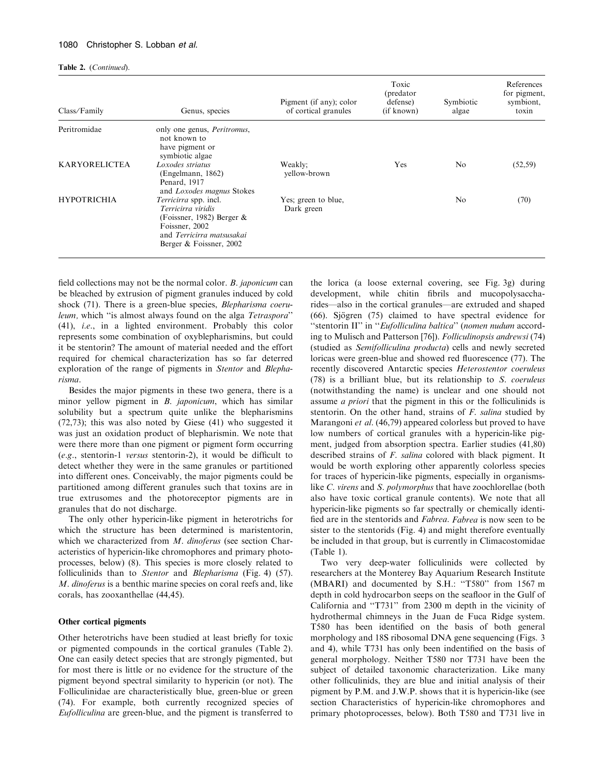### 1080 Christopher S. Lobban et al.

|  | Table 2. (Continued). |
|--|-----------------------|
|--|-----------------------|

| Class/Family         | Genus, species                                                                                                                                              | Pigment (if any); color<br>of cortical granules | Toxic<br>(predator)<br>defense)<br>(if known) | Symbiotic<br>algae | References<br>for pigment,<br>symbiont,<br>toxin |
|----------------------|-------------------------------------------------------------------------------------------------------------------------------------------------------------|-------------------------------------------------|-----------------------------------------------|--------------------|--------------------------------------------------|
| Peritromidae         | only one genus, <i>Peritromus</i> ,<br>not known to<br>have pigment or<br>symbiotic algae                                                                   |                                                 |                                               |                    |                                                  |
| <b>KARYORELICTEA</b> | Loxodes striatus<br>(Engelmann, 1862)<br>Penard, 1917<br>and Loxodes magnus Stokes                                                                          | Weakly;<br>vellow-brown                         | Yes                                           | N <sub>o</sub>     | (52, 59)                                         |
| <b>HYPOTRICHIA</b>   | Terricirra spp. incl.<br><i>Terricirra viridis</i><br>(Foissner, 1982) Berger $&$<br>Foissner, 2002<br>and Terricirra matsusakai<br>Berger & Foissner, 2002 | Yes; green to blue,<br>Dark green               |                                               | No.                | (70)                                             |

field collections may not be the normal color. *B. japonicum* can be bleached by extrusion of pigment granules induced by cold shock (71). There is a green-blue species, *Blepharisma coeruleum,* which ''is almost always found on the alga *Tetraspora*'' (41), *i.e.*, in a lighted environment. Probably this color represents some combination of oxyblepharismins, but could it be stentorin? The amount of material needed and the effort required for chemical characterization has so far deterred exploration of the range of pigments in *Stentor* and *Blepharisma*.

Besides the major pigments in these two genera, there is a minor yellow pigment in *B. japonicum*, which has similar solubility but a spectrum quite unlike the blepharismins (72,73); this was also noted by Giese (41) who suggested it was just an oxidation product of blepharismin. We note that were there more than one pigment or pigment form occurring (*e.g.*, stentorin-1 *versus* stentorin-2), it would be difficult to detect whether they were in the same granules or partitioned into different ones. Conceivably, the major pigments could be partitioned among different granules such that toxins are in true extrusomes and the photoreceptor pigments are in granules that do not discharge.

The only other hypericin-like pigment in heterotrichs for which the structure has been determined is maristentorin, which we characterized from *M. dinoferus* (see section Characteristics of hypericin-like chromophores and primary photoprocesses, below) (8). This species is more closely related to folliculinids than to *Stentor* and *Blepharisma* (Fig. 4) (57). *M. dinoferus* is a benthic marine species on coral reefs and, like corals, has zooxanthellae (44,45).

#### Other cortical pigments

Other heterotrichs have been studied at least briefly for toxic or pigmented compounds in the cortical granules (Table 2). One can easily detect species that are strongly pigmented, but for most there is little or no evidence for the structure of the pigment beyond spectral similarity to hypericin (or not). The Folliculinidae are characteristically blue, green-blue or green (74). For example, both currently recognized species of *Eufolliculina* are green-blue, and the pigment is transferred to

the lorica (a loose external covering, see Fig. 3g) during development, while chitin fibrils and mucopolysaccharides—also in the cortical granules—are extruded and shaped (66). Sjögren  $(75)$  claimed to have spectral evidence for ''stentorin II'' in ''*Eufolliculina baltica*'' (*nomen nudum* according to Mulisch and Patterson [76]). *Folliculinopsis andrewsi* (74) (studied as *Semifolliculina producta*) cells and newly secreted loricas were green-blue and showed red fluorescence (77). The recently discovered Antarctic species *Heterostentor coeruleus* (78) is a brilliant blue, but its relationship to *S. coeruleus* (notwithstanding the name) is unclear and one should not assume *a priori* that the pigment in this or the folliculinids is stentorin. On the other hand, strains of *F. salina* studied by Marangoni *et al.* (46,79) appeared colorless but proved to have low numbers of cortical granules with a hypericin-like pigment, judged from absorption spectra. Earlier studies (41,80) described strains of *F. salina* colored with black pigment. It would be worth exploring other apparently colorless species for traces of hypericin-like pigments, especially in organismslike *C. virens* and *S. polymorphus* that have zoochlorellae (both also have toxic cortical granule contents). We note that all hypericin-like pigments so far spectrally or chemically identified are in the stentorids and *Fabrea*. *Fabrea* is now seen to be sister to the stentorids (Fig. 4) and might therefore eventually be included in that group, but is currently in Climacostomidae (Table 1).

Two very deep-water folliculinids were collected by researchers at the Monterey Bay Aquarium Research Institute (MBARI) and documented by S.H.: ''T580'' from 1567 m depth in cold hydrocarbon seeps on the seafloor in the Gulf of California and ''T731'' from 2300 m depth in the vicinity of hydrothermal chimneys in the Juan de Fuca Ridge system. T580 has been identified on the basis of both general morphology and 18S ribosomal DNA gene sequencing (Figs. 3 and 4), while T731 has only been indentified on the basis of general morphology. Neither T580 nor T731 have been the subject of detailed taxonomic characterization. Like many other folliculinids, they are blue and initial analysis of their pigment by P.M. and J.W.P. shows that it is hypericin-like (see section Characteristics of hypericin-like chromophores and primary photoprocesses, below). Both T580 and T731 live in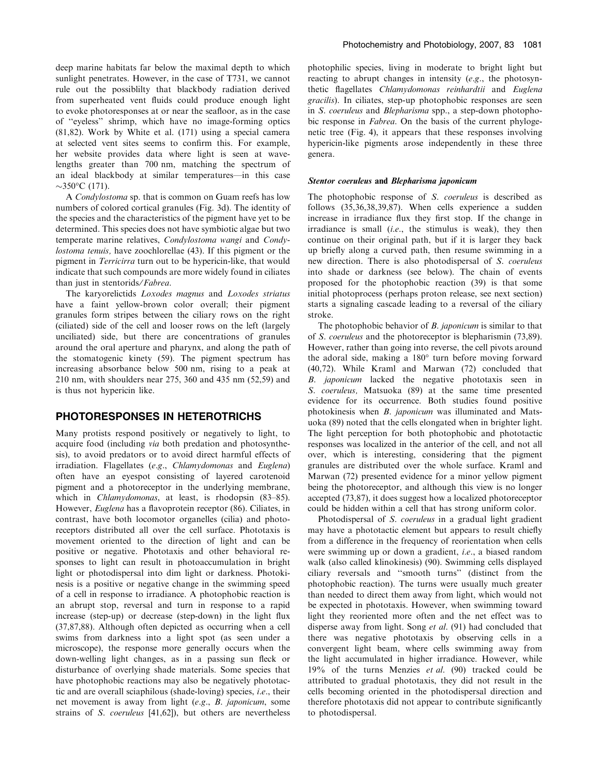deep marine habitats far below the maximal depth to which sunlight penetrates. However, in the case of T731, we cannot rule out the possiblilty that blackbody radiation derived from superheated vent fluids could produce enough light to evoke photoresponses at or near the seafloor, as in the case of ''eyeless'' shrimp, which have no image-forming optics (81,82). Work by White et al. (171) using a special camera at selected vent sites seems to confirm this. For example, her website provides data where light is seen at wavelengths greater than 700 nm, matching the spectrum of an ideal blackbody at similar temperatures—in this case  $\sim$ 350°C (171).

A *Condylostoma* sp. that is common on Guam reefs has low numbers of colored cortical granules (Fig. 3d). The identity of the species and the characteristics of the pigment have yet to be determined. This species does not have symbiotic algae but two temperate marine relatives, *Condylostoma wangi* and *Condylostoma tenuis,* have zoochlorellae (43). If this pigment or the pigment in *Terricirra* turn out to be hypericin-like, that would indicate that such compounds are more widely found in ciliates than just in stentorids⁄ *Fabrea*.

The karyorelictids *Loxodes magnus* and *Loxodes striatus* have a faint yellow-brown color overall; their pigment granules form stripes between the ciliary rows on the right (ciliated) side of the cell and looser rows on the left (largely unciliated) side, but there are concentrations of granules around the oral aperture and pharynx, and along the path of the stomatogenic kinety (59). The pigment spectrum has increasing absorbance below 500 nm, rising to a peak at 210 nm, with shoulders near 275, 360 and 435 nm (52,59) and is thus not hypericin like.

# PHOTORESPONSES IN HETEROTRICHS

Many protists respond positively or negatively to light, to acquire food (including *via* both predation and photosynthesis), to avoid predators or to avoid direct harmful effects of irradiation. Flagellates (*e.g.*, *Chlamydomonas* and *Euglena*) often have an eyespot consisting of layered carotenoid pigment and a photoreceptor in the underlying membrane, which in *Chlamydomonas*, at least, is rhodopsin (83–85). However, *Euglena* has a flavoprotein receptor (86). Ciliates, in contrast, have both locomotor organelles (cilia) and photoreceptors distributed all over the cell surface. Phototaxis is movement oriented to the direction of light and can be positive or negative. Phototaxis and other behavioral responses to light can result in photoaccumulation in bright light or photodispersal into dim light or darkness. Photokinesis is a positive or negative change in the swimming speed of a cell in response to irradiance. A photophobic reaction is an abrupt stop, reversal and turn in response to a rapid increase (step-up) or decrease (step-down) in the light flux (37,87,88). Although often depicted as occurring when a cell swims from darkness into a light spot (as seen under a microscope), the response more generally occurs when the down-welling light changes, as in a passing sun fleck or disturbance of overlying shade materials. Some species that have photophobic reactions may also be negatively phototactic and are overall sciaphilous (shade-loving) species, *i.e.*, their net movement is away from light (*e.g.*, *B. japonicum*, some strains of *S. coeruleus* [41,62]), but others are nevertheless

photophilic species, living in moderate to bright light but reacting to abrupt changes in intensity (*e.g.*, the photosynthetic flagellates *Chlamydomonas reinhardtii* and *Euglena gracilis*). In ciliates, step-up photophobic responses are seen in *S. coeruleus* and *Blepharisma* spp., a step-down photophobic response in *Fabrea*. On the basis of the current phylogenetic tree (Fig. 4), it appears that these responses involving hypericin-like pigments arose independently in these three genera.

### Stentor coeruleus and Blepharisma japonicum

The photophobic response of *S. coeruleus* is described as follows (35,36,38,39,87). When cells experience a sudden increase in irradiance flux they first stop. If the change in irradiance is small (*i.e.*, the stimulus is weak), they then continue on their original path, but if it is larger they back up briefly along a curved path, then resume swimming in a new direction. There is also photodispersal of *S. coeruleus* into shade or darkness (see below). The chain of events proposed for the photophobic reaction (39) is that some initial photoprocess (perhaps proton release, see next section) starts a signaling cascade leading to a reversal of the ciliary stroke.

The photophobic behavior of *B. japonicum* is similar to that of *S. coeruleus* and the photoreceptor is blepharismin (73,89). However, rather than going into reverse, the cell pivots around the adoral side, making a 180° turn before moving forward (40,72). While Kraml and Marwan (72) concluded that *B. japonicum* lacked the negative phototaxis seen in *S. coeruleus,* Matsuoka (89) at the same time presented evidence for its occurrence. Both studies found positive photokinesis when *B. japonicum* was illuminated and Matsuoka (89) noted that the cells elongated when in brighter light. The light perception for both photophobic and phototactic responses was localized in the anterior of the cell, and not all over, which is interesting, considering that the pigment granules are distributed over the whole surface. Kraml and Marwan (72) presented evidence for a minor yellow pigment being the photoreceptor, and although this view is no longer accepted (73,87), it does suggest how a localized photoreceptor could be hidden within a cell that has strong uniform color.

Photodispersal of *S. coeruleus* in a gradual light gradient may have a phototactic element but appears to result chiefly from a difference in the frequency of reorientation when cells were swimming up or down a gradient, *i.e.*, a biased random walk (also called klinokinesis) (90). Swimming cells displayed ciliary reversals and ''smooth turns'' (distinct from the photophobic reaction). The turns were usually much greater than needed to direct them away from light, which would not be expected in phototaxis. However, when swimming toward light they reoriented more often and the net effect was to disperse away from light. Song *et al.* (91) had concluded that there was negative phototaxis by observing cells in a convergent light beam, where cells swimming away from the light accumulated in higher irradiance. However, while 19% of the turns Menzies *et al.* (90) tracked could be attributed to gradual phototaxis, they did not result in the cells becoming oriented in the photodispersal direction and therefore phototaxis did not appear to contribute significantly to photodispersal.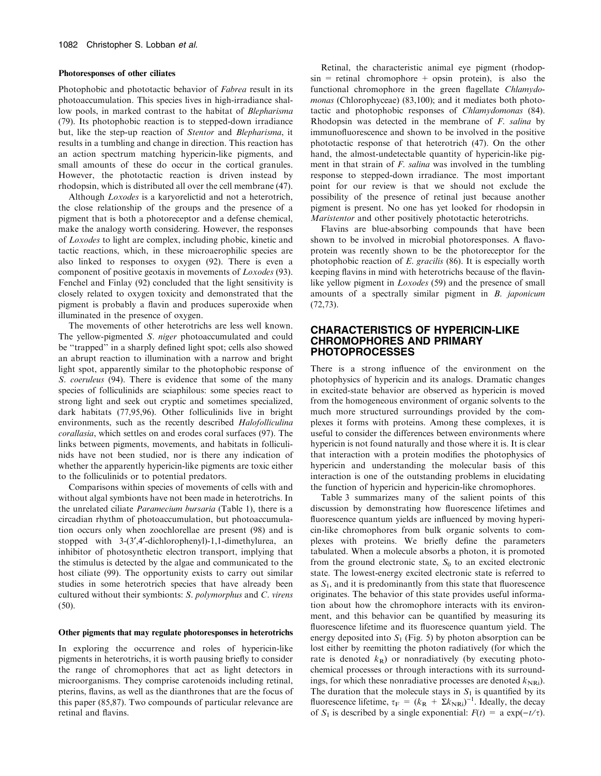#### Photoresponses of other ciliates

Photophobic and phototactic behavior of *Fabrea* result in its photoaccumulation. This species lives in high-irradiance shallow pools, in marked contrast to the habitat of *Blepharisma* (79). Its photophobic reaction is to stepped-down irradiance but, like the step-up reaction of *Stentor* and *Blepharisma*, it results in a tumbling and change in direction. This reaction has an action spectrum matching hypericin-like pigments, and small amounts of these do occur in the cortical granules. However, the phototactic reaction is driven instead by rhodopsin, which is distributed all over the cell membrane (47).

Although *Loxodes* is a karyorelictid and not a heterotrich, the close relationship of the groups and the presence of a pigment that is both a photoreceptor and a defense chemical, make the analogy worth considering. However, the responses of *Loxodes* to light are complex, including phobic, kinetic and tactic reactions, which, in these microaerophilic species are also linked to responses to oxygen (92). There is even a component of positive geotaxis in movements of *Loxodes* (93). Fenchel and Finlay (92) concluded that the light sensitivity is closely related to oxygen toxicity and demonstrated that the pigment is probably a flavin and produces superoxide when illuminated in the presence of oxygen.

The movements of other heterotrichs are less well known. The yellow-pigmented *S. niger* photoaccumulated and could be ''trapped'' in a sharply defined light spot; cells also showed an abrupt reaction to illumination with a narrow and bright light spot, apparently similar to the photophobic response of *S. coeruleus* (94). There is evidence that some of the many species of folliculinids are sciaphilous: some species react to strong light and seek out cryptic and sometimes specialized, dark habitats (77,95,96). Other folliculinids live in bright environments, such as the recently described *Halofolliculina corallasia*, which settles on and erodes coral surfaces (97). The links between pigments, movements, and habitats in folliculinids have not been studied, nor is there any indication of whether the apparently hypericin-like pigments are toxic either to the folliculinids or to potential predators.

Comparisons within species of movements of cells with and without algal symbionts have not been made in heterotrichs. In the unrelated ciliate *Paramecium bursaria* (Table 1), there is a circadian rhythm of photoaccumulation, but photoaccumulation occurs only when zoochlorellae are present (98) and is stopped with 3-(3¢,4¢-dichlorophenyl)-1,1-dimethylurea, an inhibitor of photosynthetic electron transport, implying that the stimulus is detected by the algae and communicated to the host ciliate (99). The opportunity exists to carry out similar studies in some heterotrich species that have already been cultured without their symbionts: *S. polymorphus* and *C. virens* (50).

#### Other pigments that may regulate photoresponses in heterotrichs

In exploring the occurrence and roles of hypericin-like pigments in heterotrichs, it is worth pausing briefly to consider the range of chromophores that act as light detectors in microorganisms. They comprise carotenoids including retinal, pterins, flavins, as well as the dianthrones that are the focus of this paper (85,87). Two compounds of particular relevance are retinal and flavins.

Retinal, the characteristic animal eye pigment (rhodop $sin =$  retinal chromophore + opsin protein), is also the functional chromophore in the green flagellate *Chlamydomonas* (Chlorophyceae) (83,100); and it mediates both phototactic and photophobic responses of *Chlamydomonas* (84). Rhodopsin was detected in the membrane of *F. salina* by immunofluorescence and shown to be involved in the positive phototactic response of that heterotrich (47). On the other hand, the almost-undetectable quantity of hypericin-like pigment in that strain of *F. salina* was involved in the tumbling response to stepped-down irradiance. The most important point for our review is that we should not exclude the possibility of the presence of retinal just because another pigment is present. No one has yet looked for rhodopsin in *Maristentor* and other positively phototactic heterotrichs*.*

Flavins are blue-absorbing compounds that have been shown to be involved in microbial photoresponses. A flavoprotein was recently shown to be the photoreceptor for the photophobic reaction of *E. gracilis* (86). It is especially worth keeping flavins in mind with heterotrichs because of the flavinlike yellow pigment in *Loxodes* (59) and the presence of small amounts of a spectrally similar pigment in *B. japonicum* (72,73).

## CHARACTERISTICS OF HYPERICIN-LIKE CHROMOPHORES AND PRIMARY **PHOTOPROCESSES**

There is a strong influence of the environment on the photophysics of hypericin and its analogs. Dramatic changes in excited-state behavior are observed as hypericin is moved from the homogeneous environment of organic solvents to the much more structured surroundings provided by the complexes it forms with proteins. Among these complexes, it is useful to consider the differences between environments where hypericin is not found naturally and those where it is. It is clear that interaction with a protein modifies the photophysics of hypericin and understanding the molecular basis of this interaction is one of the outstanding problems in elucidating the function of hypericin and hypericin-like chromophores.

Table 3 summarizes many of the salient points of this discussion by demonstrating how fluorescence lifetimes and fluorescence quantum yields are influenced by moving hypericin-like chromophores from bulk organic solvents to complexes with proteins. We briefly define the parameters tabulated. When a molecule absorbs a photon, it is promoted from the ground electronic state,  $S_0$  to an excited electronic state. The lowest-energy excited electronic state is referred to as  $S_1$ , and it is predominantly from this state that fluorescence originates. The behavior of this state provides useful information about how the chromophore interacts with its environment, and this behavior can be quantified by measuring its fluorescence lifetime and its fluorescence quantum yield. The energy deposited into  $S_1$  (Fig. 5) by photon absorption can be lost either by reemitting the photon radiatively (for which the rate is denoted  $k_R$ ) or nonradiatively (by executing photochemical processes or through interactions with its surroundings, for which these nonradiative processes are denoted  $k_{NRi}$ ). The duration that the molecule stays in  $S_1$  is quantified by its fluorescence lifetime,  $\tau_F = (k_R + \Sigma k_{NRi})^{-1}$ . Ideally, the decay of  $S_1$  is described by a single exponential:  $F(t) = a \exp(-t/\tau)$ .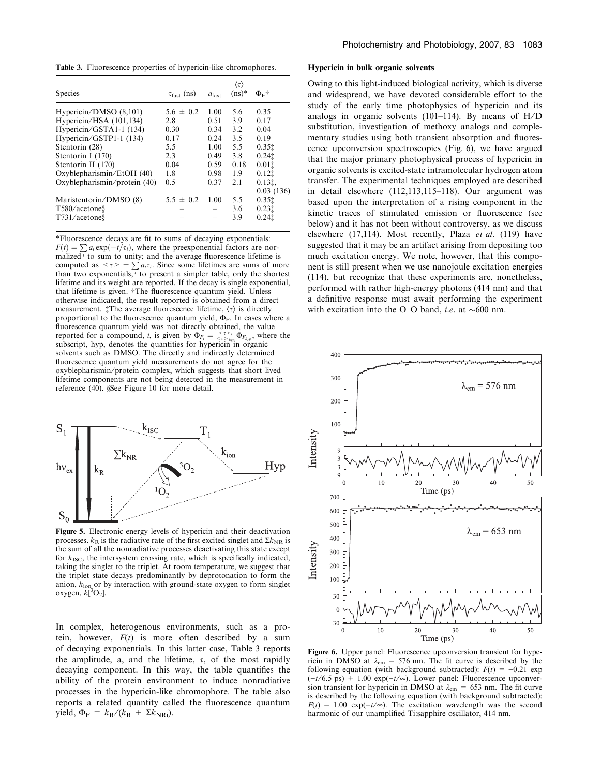Table 3. Fluorescence properties of hypericin-like chromophores.

| <b>Species</b>               | $\tau_{\text{fast}}$ (ns) | $a_{\text{fast}}$ | $\langle \tau \rangle$<br>$(ns)*$ | $\Phi_{\rm F}$ †    |
|------------------------------|---------------------------|-------------------|-----------------------------------|---------------------|
| Hypericin/DMSO (8,101)       | $5.6 \pm 0.2$             | 1.00              | 5.6                               | 0.35                |
| Hypericin/HSA (101,134)      | 2.8                       | 0.51              | 3.9                               | 0.17                |
| Hypericin/GSTA1-1 (134)      | 0.30                      | 0.34              | 3.2                               | 0.04                |
| Hypericin/GSTP1-1 (134)      | 0.17                      | 0.24              | 3.5                               | 0.19                |
| Stentorin (28)               | 5.5                       | 1.00              | 5.5                               | 0.351               |
| Stentorin I (170)            | 2.3                       | 0.49              | 3.8                               | 0.24t               |
| Stentorin II (170)           | 0.04                      | 0.59              | 0.18                              | 0.011               |
| Oxyblepharismin/EtOH (40)    | 1.8                       | 0.98              | 1.9                               | 0.121               |
| Oxyblepharismin/protein (40) | 0.5                       | 0.37              | 2.1                               | 0.131.<br>0.03(136) |
| Maristentorin/DMSO (8)       | $5.5 \pm 0.2$             | 1.00              | 5.5                               | 0.351               |
| T580/acetone§                |                           |                   | 3.6                               | 0.231               |
| T731/acetone§                |                           |                   | 3.9                               | 0.241               |

\*Fluorescence decays are fit to sums of decaying exponentials:  $F(t) = \sum a_i \exp(-t/\tau_i)$ , where the preexponential factors are normalized  $i$  to sum to unity; and the average fluorescence lifetime is computed as  $\langle \tau \rangle = \sum a_i \tau_i$ . Since some lifetimes are sums of more than two exponentials, i to present a simpler table, only the shortest lifetime and its weight are reported. If the decay is single exponential, that lifetime is given. †The fluorescence quantum yield. Unless otherwise indicated, the result reported is obtained from a direct measurement.  $\ddagger$ The average fluorescence lifetime,  $\langle \tau \rangle$  is directly proportional to the fluorescence quantum yield,  $\Phi_F$ . In cases where a fluorescence quantum yield was not directly obtained, the value reported for a compound, *i*, is given by  $\Phi_{F_i} = \frac{<(x)_{\lambda_i}}{(-x)_{\lambda_i}} \Phi_{F_{\lambda_i p}}$ , where the subscript, hyp, denotes the quantities for hypericin in organic solvents such as DMSO. The directly and indirectly determined fluorescence quantum yield measurements do not agree for the oxyblepharismin/protein complex, which suggests that short lived lifetime components are not being detected in the measurement in reference (40). §See Figure 10 for more detail.



Figure 5. Electronic energy levels of hypericin and their deactivation processes.  $k_R$  is the radiative rate of the first excited singlet and  $\Sigma k_{\text{NR}}$  is the sum of all the nonradiative processes deactivating this state except for  $k_{\text{ISC}}$ , the intersystem crossing rate, which is specifically indicated, taking the singlet to the triplet. At room temperature, we suggest that the triplet state decays predominantly by deprotonation to form the anion,  $k_{\text{ion}}$  or by interaction with ground-state oxygen to form singlet oxygen,  $k[^{3}O_{2}].$ 

In complex, heterogenous environments, such as a protein, however,  $F(t)$  is more often described by a sum of decaying exponentials. In this latter case, Table 3 reports the amplitude, a, and the lifetime,  $\tau$ , of the most rapidly decaying component. In this way, the table quantifies the ability of the protein environment to induce nonradiative processes in the hypericin-like chromophore. The table also reports a related quantity called the fluorescence quantum yield,  $\Phi_F = k_R / (k_R + \Sigma k_{NRi}).$ 

#### Hypericin in bulk organic solvents

Owing to this light-induced biological activity, which is diverse and widespread, we have devoted considerable effort to the study of the early time photophysics of hypericin and its analogs in organic solvents  $(101-114)$ . By means of H/D substitution, investigation of methoxy analogs and complementary studies using both transient absorption and fluorescence upconversion spectroscopies (Fig. 6), we have argued that the major primary photophysical process of hypericin in organic solvents is excited-state intramolecular hydrogen atom transfer. The experimental techniques employed are described in detail elsewhere (112,113,115–118). Our argument was based upon the interpretation of a rising component in the kinetic traces of stimulated emission or fluorescence (see below) and it has not been without controversy, as we discuss elsewhere (17,114). Most recently, Plaza *et al.* (119) have suggested that it may be an artifact arising from depositing too much excitation energy. We note, however, that this component is still present when we use nanojoule excitation energies (114), but recognize that these experiments are, nonetheless, performed with rather high-energy photons (414 nm) and that a definitive response must await performing the experiment with excitation into the O–O band, *i.e.* at  $\sim 600$  nm.



Figure 6. Upper panel: Fluorescence upconversion transient for hypericin in DMSO at  $\lambda_{em}$  = 576 nm. The fit curve is described by the following equation (with background subtracted):  $F(t) = -0.21 \text{ exp}$  $(-t/6.5 \text{ ps}) + 1.00 \text{ exp}(-t/\infty)$ . Lower panel: Fluorescence upconversion transient for hypericin in DMSO at  $\lambda_{em} = 653$  nm. The fit curve is described by the following equation (with background subtracted):  $F(t) = 1.00 \exp(-t/\infty)$ . The excitation wavelength was the second harmonic of our unamplified Ti:sapphire oscillator, 414 nm.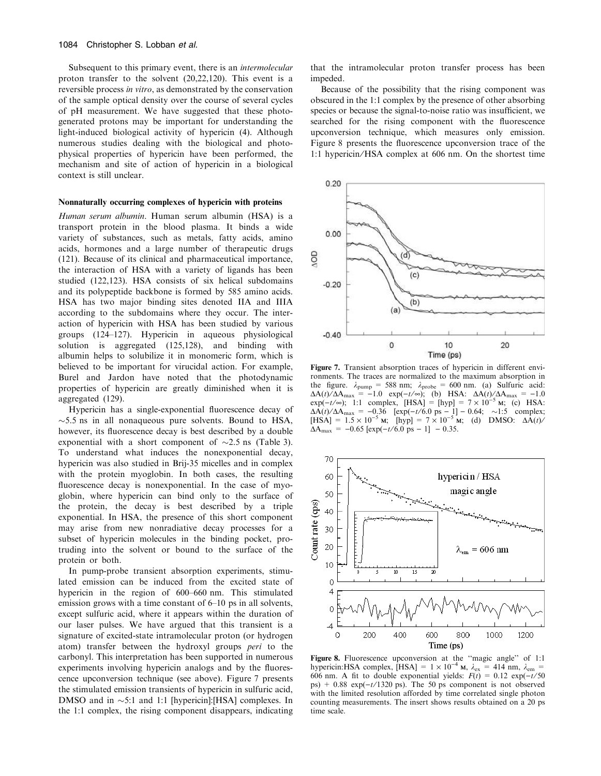Subsequent to this primary event, there is an *intermolecular* proton transfer to the solvent (20,22,120). This event is a reversible process *in vitro*, as demonstrated by the conservation of the sample optical density over the course of several cycles of pH measurement. We have suggested that these photogenerated protons may be important for understanding the light-induced biological activity of hypericin (4). Although numerous studies dealing with the biological and photophysical properties of hypericin have been performed, the mechanism and site of action of hypericin in a biological context is still unclear.

### Nonnaturally occurring complexes of hypericin with proteins

*Human serum albumin.* Human serum albumin (HSA) is a transport protein in the blood plasma. It binds a wide variety of substances, such as metals, fatty acids, amino acids, hormones and a large number of therapeutic drugs (121). Because of its clinical and pharmaceutical importance, the interaction of HSA with a variety of ligands has been studied (122,123). HSA consists of six helical subdomains and its polypeptide backbone is formed by 585 amino acids. HSA has two major binding sites denoted IIA and IIIA according to the subdomains where they occur. The interaction of hypericin with HSA has been studied by various groups (124–127). Hypericin in aqueous physiological solution is aggregated (125,128), and binding with albumin helps to solubilize it in monomeric form, which is believed to be important for virucidal action. For example, Burel and Jardon have noted that the photodynamic properties of hypericin are greatly diminished when it is aggregated (129).

Hypericin has a single-exponential fluorescence decay of  $\sim$ 5.5 ns in all nonaqueous pure solvents. Bound to HSA, however, its fluorescence decay is best described by a double exponential with a short component of  $\sim$ 2.5 ns (Table 3). To understand what induces the nonexponential decay, hypericin was also studied in Brij-35 micelles and in complex with the protein myoglobin. In both cases, the resulting fluorescence decay is nonexponential. In the case of myoglobin, where hypericin can bind only to the surface of the protein, the decay is best described by a triple exponential. In HSA, the presence of this short component may arise from new nonradiative decay processes for a subset of hypericin molecules in the binding pocket, protruding into the solvent or bound to the surface of the protein or both.

In pump-probe transient absorption experiments, stimulated emission can be induced from the excited state of hypericin in the region of 600–660 nm. This stimulated emission grows with a time constant of 6–10 ps in all solvents, except sulfuric acid, where it appears within the duration of our laser pulses. We have argued that this transient is a signature of excited-state intramolecular proton (or hydrogen atom) transfer between the hydroxyl groups *peri* to the carbonyl. This interpretation has been supported in numerous experiments involving hypericin analogs and by the fluorescence upconversion technique (see above). Figure 7 presents the stimulated emission transients of hypericin in sulfuric acid, DMSO and in  $\sim$ 5:1 and 1:1 [hypericin]:[HSA] complexes. In the 1:1 complex, the rising component disappears, indicating that the intramolecular proton transfer process has been impeded.

Because of the possibility that the rising component was obscured in the 1:1 complex by the presence of other absorbing species or because the signal-to-noise ratio was insufficient, we searched for the rising component with the fluorescence upconversion technique, which measures only emission. Figure 8 presents the fluorescence upconversion trace of the 1:1 hypericin ⁄ HSA complex at 606 nm. On the shortest time



Figure 7. Transient absorption traces of hypericin in different environments. The traces are normalized to the maximum absorption in the figure.  $\lambda_{\text{pump}} = 588 \text{ nm}$ ;  $\lambda_{\text{probe}} = 600 \text{ nm}$ . (a) Sulfuric acid:  $\Delta A(t)/\Delta A_{\text{max}} = -1.0 \exp(-t/\infty)$ ; (b) HSA:  $\Delta A(t)/\Delta A_{\text{max}} = -1.0 \exp(-t/\infty)$ ; 1:1 complex, [HSA] = [hyp] = 7 × 10<sup>-5</sup> M; (c) HSA:  $\Delta \hat{A}(t) / \Delta A_{\text{max}} = -0.36$  [exp( $-t/6.0$  ps  $-1$ ] – 0.64; ~1:5 complex;  $[HSA] = 1.5 \times 10^{-5}$  M;  $[hyp] = 7 \times 10^{-5}$  M; (d) DMSO:  $\Delta A(t)$  $\Delta A_{\text{max}} = -0.65 \text{ [exp}(-t/6.0 \text{ ps } - 1] - 0.35.$ 



Figure 8. Fluorescence upconversion at the ''magic angle'' of 1:1 hypericin:HSA complex, [HSA] =  $1 \times 10^{-4}$  M,  $\lambda_{\text{ex}} = 414$  nm,  $\lambda_{\text{em}} =$ 606 nm. A fit to double exponential yields:  $F(t) = 0.12 \exp(-t/50)$  $ps) + 0.88 \exp(-t/1320 \text{ ps})$ . The 50 ps component is not observed with the limited resolution afforded by time correlated single photon counting measurements. The insert shows results obtained on a 20 ps time scale.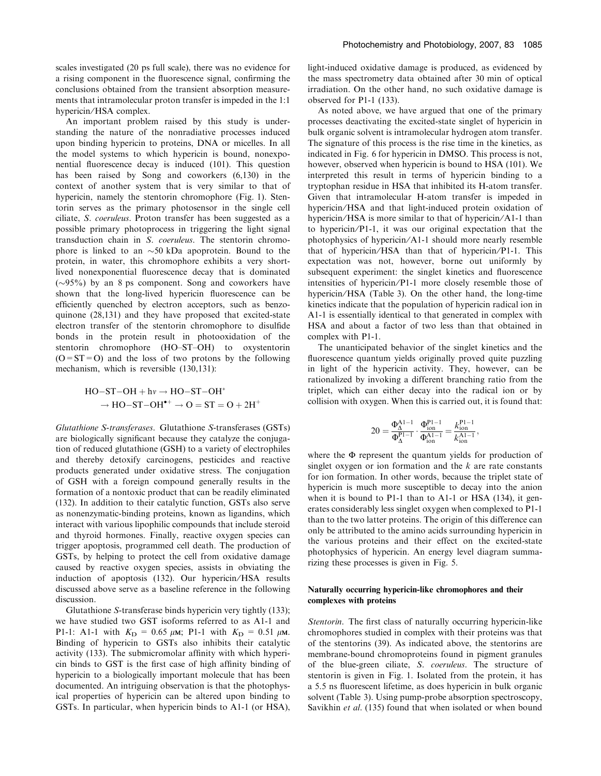scales investigated (20 ps full scale), there was no evidence for a rising component in the fluorescence signal, confirming the conclusions obtained from the transient absorption measurements that intramolecular proton transfer is impeded in the 1:1 hypericin/HSA complex.

An important problem raised by this study is understanding the nature of the nonradiative processes induced upon binding hypericin to proteins, DNA or micelles. In all the model systems to which hypericin is bound, nonexponential fluorescence decay is induced (101). This question has been raised by Song and coworkers (6,130) in the context of another system that is very similar to that of hypericin, namely the stentorin chromophore (Fig. 1). Stentorin serves as the primary photosensor in the single cell ciliate, *S. coeruleus*. Proton transfer has been suggested as a possible primary photoprocess in triggering the light signal transduction chain in *S. coeruleus.* The stentorin chromophore is linked to an  $\sim$ 50 kDa apoprotein. Bound to the protein, in water, this chromophore exhibits a very shortlived nonexponential fluorescence decay that is dominated  $(\sim 95\%)$  by an 8 ps component. Song and coworkers have shown that the long-lived hypericin fluorescence can be efficiently quenched by electron acceptors, such as benzoquinone (28,131) and they have proposed that excited-state electron transfer of the stentorin chromophore to disulfide bonds in the protein result in photooxidation of the stentorin chromophore (HO–ST–OH) to oxystentorin  $(O=ST=O)$  and the loss of two protons by the following mechanism, which is reversible (130,131):

$$
HO-ST-OH + hv \rightarrow HO-ST-OH^*
$$

$$
\rightarrow HO-ST-OH^{\bullet+} \rightarrow O = ST = O + 2H^+
$$

*Glutathione S-transferases.* Glutathione *S*-transferases (GSTs) are biologically significant because they catalyze the conjugation of reduced glutathione (GSH) to a variety of electrophiles and thereby detoxify carcinogens, pesticides and reactive products generated under oxidative stress. The conjugation of GSH with a foreign compound generally results in the formation of a nontoxic product that can be readily eliminated (132). In addition to their catalytic function, GSTs also serve as nonenzymatic-binding proteins, known as ligandins, which interact with various lipophilic compounds that include steroid and thyroid hormones. Finally, reactive oxygen species can trigger apoptosis, programmed cell death. The production of GSTs, by helping to protect the cell from oxidative damage caused by reactive oxygen species, assists in obviating the induction of apoptosis (132). Our hypericin/HSA results discussed above serve as a baseline reference in the following discussion.

Glutathione *S*-transferase binds hypericin very tightly (133); we have studied two GST isoforms referred to as A1-1 and P1-1: A1-1 with  $K_D = 0.65 \mu \text{m}$ ; P1-1 with  $K_D = 0.51 \mu \text{m}$ . Binding of hypericin to GSTs also inhibits their catalytic activity (133). The submicromolar affinity with which hypericin binds to GST is the first case of high affinity binding of hypericin to a biologically important molecule that has been documented. An intriguing observation is that the photophysical properties of hypericin can be altered upon binding to GSTs. In particular, when hypericin binds to A1-1 (or HSA), light-induced oxidative damage is produced, as evidenced by the mass spectrometry data obtained after 30 min of optical irradiation. On the other hand, no such oxidative damage is observed for P1-1 (133).

As noted above, we have argued that one of the primary processes deactivating the excited-state singlet of hypericin in bulk organic solvent is intramolecular hydrogen atom transfer. The signature of this process is the rise time in the kinetics, as indicated in Fig. 6 for hypericin in DMSO. This process is not, however, observed when hypericin is bound to HSA (101). We interpreted this result in terms of hypericin binding to a tryptophan residue in HSA that inhibited its H-atom transfer. Given that intramolecular H-atom transfer is impeded in hypericin/HSA and that light-induced protein oxidation of hypericin/HSA is more similar to that of hypericin/A1-1 than to hypericin/P1-1, it was our original expectation that the photophysics of hypericin/A1-1 should more nearly resemble that of hypericin/HSA than that of hypericin/P1-1. This expectation was not, however, borne out uniformly by subsequent experiment: the singlet kinetics and fluorescence intensities of hypericin/P1-1 more closely resemble those of hypericin/HSA (Table 3). On the other hand, the long-time kinetics indicate that the population of hypericin radical ion in A1-1 is essentially identical to that generated in complex with HSA and about a factor of two less than that obtained in complex with P1-1.

The unanticipated behavior of the singlet kinetics and the fluorescence quantum yields originally proved quite puzzling in light of the hypericin activity. They, however, can be rationalized by invoking a different branching ratio from the triplet, which can either decay into the radical ion or by collision with oxygen. When this is carried out, it is found that:

$$
20=\frac{\Phi^{A1-1}_{\Delta}}{\Phi^{P1-1}_{\Delta}}\cdot\frac{\Phi^{P1-1}_{ion}}{\Phi^{A1-1}_{ion}}\!=\!\frac{k_{ion}^{P1-1}}{k_{ion}^{A1-1}},
$$

where the  $\Phi$  represent the quantum yields for production of singlet oxygen or ion formation and the *k* are rate constants for ion formation. In other words, because the triplet state of hypericin is much more susceptible to decay into the anion when it is bound to P1-1 than to A1-1 or HSA (134), it generates considerably less singlet oxygen when complexed to P1-1 than to the two latter proteins. The origin of this difference can only be attributed to the amino acids surrounding hypericin in the various proteins and their effect on the excited-state photophysics of hypericin. An energy level diagram summarizing these processes is given in Fig. 5.

### Naturally occurring hypericin-like chromophores and their complexes with proteins

*Stentorin.* The first class of naturally occurring hypericin-like chromophores studied in complex with their proteins was that of the stentorins (39). As indicated above, the stentorins are membrane-bound chromoproteins found in pigment granules of the blue-green ciliate, *S. coeruleus.* The structure of stentorin is given in Fig. 1. Isolated from the protein, it has a 5.5 ns fluorescent lifetime, as does hypericin in bulk organic solvent (Table 3). Using pump-probe absorption spectroscopy, Savikhin *et al.* (135) found that when isolated or when bound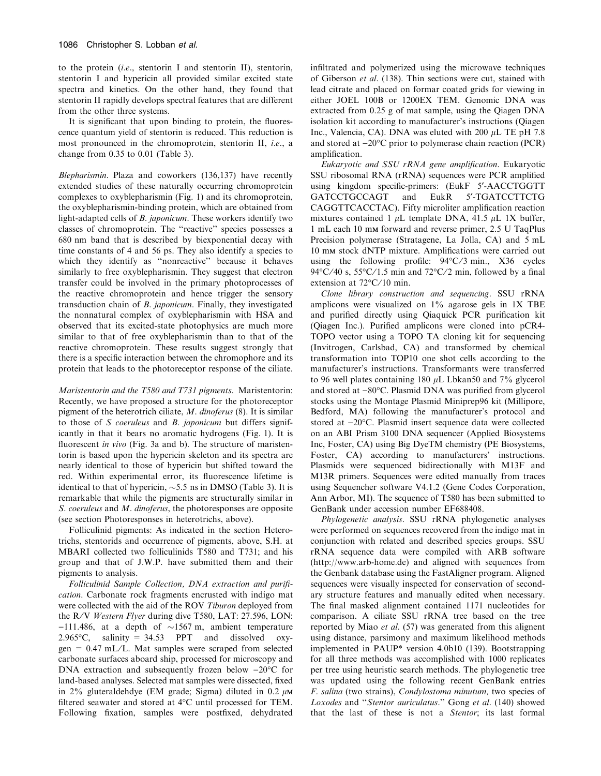to the protein (*i.e.*, stentorin I and stentorin II), stentorin, stentorin I and hypericin all provided similar excited state spectra and kinetics. On the other hand, they found that stentorin II rapidly develops spectral features that are different from the other three systems.

It is significant that upon binding to protein, the fluorescence quantum yield of stentorin is reduced. This reduction is most pronounced in the chromoprotein, stentorin II, *i.e.*, a change from 0.35 to 0.01 (Table 3).

*Blepharismin.* Plaza and coworkers (136,137) have recently extended studies of these naturally occurring chromoprotein complexes to oxyblepharismin (Fig. 1) and its chromoprotein, the oxyblepharismin-binding protein, which are obtained from light-adapted cells of *B. japonicum.* These workers identify two classes of chromoprotein. The ''reactive'' species possesses a 680 nm band that is described by biexponential decay with time constants of 4 and 56 ps. They also identify a species to which they identify as ''nonreactive'' because it behaves similarly to free oxyblepharismin. They suggest that electron transfer could be involved in the primary photoprocesses of the reactive chromoprotein and hence trigger the sensory transduction chain of *B. japonicum.* Finally, they investigated the nonnatural complex of oxyblepharismin with HSA and observed that its excited-state photophysics are much more similar to that of free oxyblepharismin than to that of the reactive chromoprotein. These results suggest strongly that there is a specific interaction between the chromophore and its protein that leads to the photoreceptor response of the ciliate.

*Maristentorin and the T580 and T731 pigments.* Maristentorin: Recently, we have proposed a structure for the photoreceptor pigment of the heterotrich ciliate, *M. dinoferus* (8). It is similar to those of *S coeruleus* and *B. japonicum* but differs significantly in that it bears no aromatic hydrogens (Fig. 1). It is fluorescent *in vivo* (Fig. 3a and b). The structure of maristentorin is based upon the hypericin skeleton and its spectra are nearly identical to those of hypericin but shifted toward the red. Within experimental error, its fluorescence lifetime is identical to that of hypericin,  $\sim$  5.5 ns in DMSO (Table 3). It is remarkable that while the pigments are structurally similar in *S. coeruleus* and *M. dinoferus*, the photoresponses are opposite (see section Photoresponses in heterotrichs, above).

Folliculinid pigments: As indicated in the section Heterotrichs, stentorids and occurrence of pigments, above, S.H. at MBARI collected two folliculinids T580 and T731; and his group and that of J.W.P. have submitted them and their pigments to analysis.

*Folliculinid Sample Collection, DNA extraction and purification.* Carbonate rock fragments encrusted with indigo mat were collected with the aid of the ROV *Tiburon* deployed from the R/V Western Flyer during dive T580, LAT: 27.596, LON:  $-111.486$ , at a depth of  $\sim$ 1567 m, ambient temperature 2.965 $\degree$ C, salinity = 34.53 PPT and dissolved oxygen =  $0.47$  mL/L. Mat samples were scraped from selected carbonate surfaces aboard ship, processed for microscopy and DNA extraction and subsequently frozen below  $-20^{\circ}$ C for land-based analyses. Selected mat samples were dissected, fixed in 2% gluteraldehdye (EM grade; Sigma) diluted in 0.2  $\mu$ M filtered seawater and stored at  $4^{\circ}$ C until processed for TEM. Following fixation, samples were postfixed, dehydrated

infiltrated and polymerized using the microwave techniques of Giberson *et al.* (138). Thin sections were cut, stained with lead citrate and placed on formar coated grids for viewing in either JOEL 100B or 1200EX TEM. Genomic DNA was extracted from 0.25 g of mat sample, using the Qiagen DNA isolation kit according to manufacturer's instructions (Qiagen Inc., Valencia, CA). DNA was eluted with 200  $\mu$ L TE pH 7.8 and stored at  $-20^{\circ}$ C prior to polymerase chain reaction (PCR) amplification.

*Eukaryotic and SSU rRNA gene amplification.* Eukaryotic SSU ribosomal RNA (rRNA) sequences were PCR amplified using kingdom specific-primers: (EukF 5'-AACCTGGTT GATCCTGCCAGT and EukR 5'-TGATCCTTCTG CAGGTTCACCTAC). Fifty microliter amplification reaction mixtures contained 1  $\mu$ L template DNA, 41.5  $\mu$ L 1X buffer, 1 mL each 10 m<sup>M</sup> forward and reverse primer, 2.5 U TaqPlus Precision polymerase (Stratagene, La Jolla, CA) and 5 mL 10 m<sup>M</sup> stock dNTP mixture. Amplifications were carried out using the following profile:  $94^{\circ}C/3$  min., X36 cycles 94°C/40 s,  $55^{\circ}$ C/1.5 min and  $72^{\circ}$ C/2 min, followed by a final extension at  $72^{\circ}$ C/10 min.

*Clone library construction and sequencing.* SSU rRNA amplicons were visualized on 1% agarose gels in 1X TBE and purified directly using Qiaquick PCR purification kit (Qiagen Inc.). Purified amplicons were cloned into pCR4- TOPO vector using a TOPO TA cloning kit for sequencing (Invitrogen, Carlsbad, CA) and transformed by chemical transformation into TOP10 one shot cells according to the manufacturer's instructions. Transformants were transferred to 96 well plates containing 180  $\mu$ L Lbkan50 and 7% glycerol and stored at  $-80^{\circ}$ C. Plasmid DNA was purified from glycerol stocks using the Montage Plasmid Miniprep96 kit (Millipore, Bedford, MA) following the manufacturer's protocol and stored at -20°C. Plasmid insert sequence data were collected on an ABI Prism 3100 DNA sequencer (Applied Biosystems Inc, Foster, CA) using Big DyeTM chemistry (PE Biosystems, Foster, CA) according to manufacturers' instructions. Plasmids were sequenced bidirectionally with M13F and M13R primers. Sequences were edited manually from traces using Sequencher software V4.1.2 (Gene Codes Corporation, Ann Arbor, MI). The sequence of T580 has been submitted to GenBank under accession number EF688408.

*Phylogenetic analysis.* SSU rRNA phylogenetic analyses were performed on sequences recovered from the indigo mat in conjunction with related and described species groups. SSU rRNA sequence data were compiled with ARB software (http://www.arb-home.de) and aligned with sequences from the Genbank database using the FastAligner program. Aligned sequences were visually inspected for conservation of secondary structure features and manually edited when necessary. The final masked alignment contained 1171 nucleotides for comparison. A ciliate SSU rRNA tree based on the tree reported by Miao *et al.* (57) was generated from this alignent using distance, parsimony and maximum likelihood methods implemented in PAUP\* version 4.0b10 (139). Bootstrapping for all three methods was accomplished with 1000 replicates per tree using heuristic search methods. The phylogenetic tree was updated using the following recent GenBank entries *F. salina* (two strains), *Condylostoma minutum,* two species of *Loxodes* and ''*Stentor auriculatus.*'' Gong *et al.* (140) showed that the last of these is not a *Stentor*; its last formal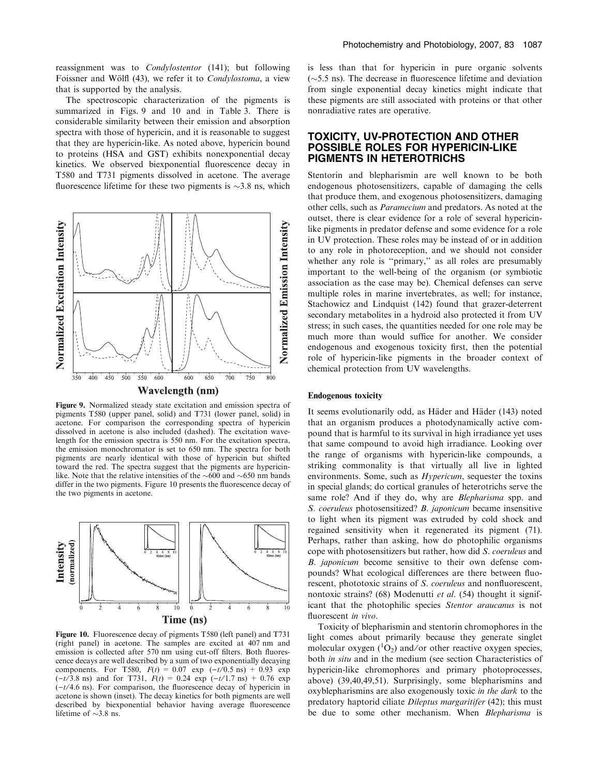reassignment was to *Condylostentor* (141); but following Foissner and Wölfl (43), we refer it to *Condylostoma*, a view that is supported by the analysis.

The spectroscopic characterization of the pigments is summarized in Figs. 9 and 10 and in Table 3. There is considerable similarity between their emission and absorption spectra with those of hypericin, and it is reasonable to suggest that they are hypericin-like. As noted above, hypericin bound to proteins (HSA and GST) exhibits nonexponential decay kinetics. We observed biexponential fluorescence decay in T580 and T731 pigments dissolved in acetone. The average fluorescence lifetime for these two pigments is  $\sim$ 3.8 ns, which



Figure 9. Normalized steady state excitation and emission spectra of pigments T580 (upper panel, solid) and T731 (lower panel, solid) in acetone. For comparison the corresponding spectra of hypericin dissolved in acetone is also included (dashed). The excitation wavelength for the emission spectra is 550 nm. For the excitation spectra, the emission monochromator is set to 650 nm. The spectra for both pigments are nearly identical with those of hypericin but shifted toward the red. The spectra suggest that the pigments are hypericinlike. Note that the relative intensities of the  $\sim 600$  and  $\sim 650$  nm bands differ in the two pigments. Figure 10 presents the fluorescence decay of the two pigments in acetone.



Figure 10. Fluorescence decay of pigments T580 (left panel) and T731 (right panel) in acetone. The samples are excited at 407 nm and emission is collected after 570 nm using cut-off filters. Both fluorescence decays are well described by a sum of two exponentially decaying components. For T580,  $F(t) = 0.07 \exp(-t/0.5 \text{ ns}) + 0.93 \exp(-t/0.5 \text{ ns})$  $(-t/3.8 \text{ ns})$  and for T731,  $F(t) = 0.24 \text{ exp } (-t/1.7 \text{ ns}) + 0.76 \text{ exp}$  $(-t/4.6 \text{ ns})$ . For comparison, the fluorescence decay of hypericin in acetone is shown (inset). The decay kinetics for both pigments are well described by biexponential behavior having average fluorescence lifetime of  $\sim$ 3.8 ns.

is less than that for hypericin in pure organic solvents  $(\sim 5.5 \text{ ns})$ . The decrease in fluorescence lifetime and deviation from single exponential decay kinetics might indicate that these pigments are still associated with proteins or that other nonradiative rates are operative.

# TOXICITY, UV-PROTECTION AND OTHER POSSIBLE ROLES FOR HYPERICIN-LIKE PIGMENTS IN HETEROTRICHS

Stentorin and blepharismin are well known to be both endogenous photosensitizers, capable of damaging the cells that produce them, and exogenous photosensitizers, damaging other cells, such as *Paramecium* and predators. As noted at the outset, there is clear evidence for a role of several hypericinlike pigments in predator defense and some evidence for a role in UV protection. These roles may be instead of or in addition to any role in photoreception, and we should not consider whether any role is "primary," as all roles are presumably important to the well-being of the organism (or symbiotic association as the case may be). Chemical defenses can serve multiple roles in marine invertebrates, as well; for instance, Stachowicz and Lindquist (142) found that grazer-deterrent secondary metabolites in a hydroid also protected it from UV stress; in such cases, the quantities needed for one role may be much more than would suffice for another. We consider endogenous and exogenous toxicity first, then the potential role of hypericin-like pigments in the broader context of chemical protection from UV wavelengths.

### Endogenous toxicity

It seems evolutionarily odd, as Häder and Häder (143) noted that an organism produces a photodynamically active compound that is harmful to its survival in high irradiance yet uses that same compound to avoid high irradiance. Looking over the range of organisms with hypericin-like compounds, a striking commonality is that virtually all live in lighted environments. Some, such as *Hypericum*, sequester the toxins in special glands; do cortical granules of heterotrichs serve the same role? And if they do, why are *Blepharisma* spp. and *S. coeruleus* photosensitized? *B. japonicum* became insensitive to light when its pigment was extruded by cold shock and regained sensitivity when it regenerated its pigment (71). Perhaps, rather than asking, how do photophilic organisms cope with photosensitizers but rather, how did *S. coeruleus* and *B. japonicum* become sensitive to their own defense compounds? What ecological differences are there between fluorescent, phototoxic strains of *S. coeruleus* and nonfluorescent, nontoxic strains? (68) Modenutti *et al.* (54) thought it significant that the photophilic species *Stentor araucanus* is not fluorescent *in vivo*.

Toxicity of blepharismin and stentorin chromophores in the light comes about primarily because they generate singlet molecular oxygen  $(^1O_2)$  and/or other reactive oxygen species, both *in situ* and in the medium (see section Characteristics of hypericin-like chromophores and primary photoprocesses, above) (39,40,49,51). Surprisingly, some blepharismins and oxyblepharismins are also exogenously toxic *in the dark* to the predatory haptorid ciliate *Dileptus margaritifer* (42); this must be due to some other mechanism. When *Blepharisma* is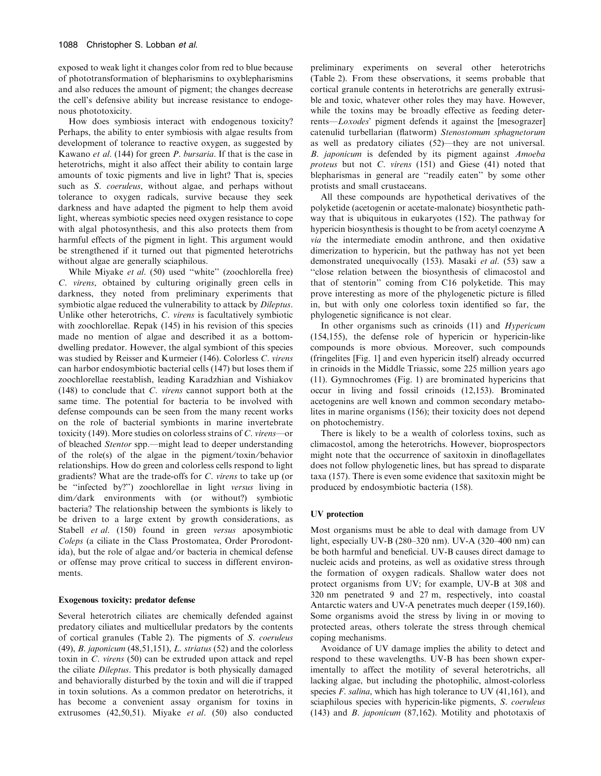exposed to weak light it changes color from red to blue because of phototransformation of blepharismins to oxyblepharismins and also reduces the amount of pigment; the changes decrease the cell's defensive ability but increase resistance to endogenous phototoxicity.

How does symbiosis interact with endogenous toxicity? Perhaps, the ability to enter symbiosis with algae results from development of tolerance to reactive oxygen, as suggested by Kawano *et al.* (144) for green *P. bursaria*. If that is the case in heterotrichs, might it also affect their ability to contain large amounts of toxic pigments and live in light? That is, species such as *S. coeruleus*, without algae, and perhaps without tolerance to oxygen radicals, survive because they seek darkness and have adapted the pigment to help them avoid light, whereas symbiotic species need oxygen resistance to cope with algal photosynthesis, and this also protects them from harmful effects of the pigment in light. This argument would be strengthened if it turned out that pigmented heterotrichs without algae are generally sciaphilous.

While Miyake et al. (50) used "white" (zoochlorella free) *C. virens*, obtained by culturing originally green cells in darkness, they noted from preliminary experiments that symbiotic algae reduced the vulnerability to attack by *Dileptus*. Unlike other heterotrichs, *C. virens* is facultatively symbiotic with zoochlorellae. Repak (145) in his revision of this species made no mention of algae and described it as a bottomdwelling predator. However, the algal symbiont of this species was studied by Reisser and Kurmeier (146). Colorless *C. virens* can harbor endosymbiotic bacterial cells (147) but loses them if zoochlorellae reestablish, leading Karadzhian and Vishiakov (148) to conclude that *C. virens* cannot support both at the same time. The potential for bacteria to be involved with defense compounds can be seen from the many recent works on the role of bacterial symbionts in marine invertebrate toxicity (149). More studies on colorless strains of *C. virens*—or of bleached *Stentor* spp.—might lead to deeper understanding of the role(s) of the algae in the pigment/toxin/behavior relationships. How do green and colorless cells respond to light gradients? What are the trade-offs for *C. virens* to take up (or be ''infected by?'') zoochlorellae in light *versus* living in dim/dark environments with (or without?) symbiotic bacteria? The relationship between the symbionts is likely to be driven to a large extent by growth considerations, as Stabell *et al.* (150) found in green *versus* aposymbiotic *Coleps* (a ciliate in the Class Prostomatea, Order Prorodontida), but the role of algae and ⁄ or bacteria in chemical defense or offense may prove critical to success in different environments.

#### Exogenous toxicity: predator defense

Several heterotrich ciliates are chemically defended against predatory ciliates and multicellular predators by the contents of cortical granules (Table 2). The pigments of *S. coeruleus* (49), *B. japonicum* (48,51,151), *L. striatus* (52) and the colorless toxin in *C. virens* (50) can be extruded upon attack and repel the ciliate *Dileptus*. This predator is both physically damaged and behaviorally disturbed by the toxin and will die if trapped in toxin solutions. As a common predator on heterotrichs, it has become a convenient assay organism for toxins in extrusomes (42,50,51). Miyake *et al.* (50) also conducted

preliminary experiments on several other heterotrichs (Table 2). From these observations, it seems probable that cortical granule contents in heterotrichs are generally extrusible and toxic, whatever other roles they may have. However, while the toxins may be broadly effective as feeding deterrents—*Loxodes*' pigment defends it against the [mesograzer] catenulid turbellarian (flatworm) *Stenostomum sphagnetorum* as well as predatory ciliates (52)—they are not universal. *B. japonicum* is defended by its pigment against *Amoeba proteus* but not *C. virens* (151) and Giese (41) noted that blepharismas in general are ''readily eaten'' by some other protists and small crustaceans.

All these compounds are hypothetical derivatives of the polyketide (acetogenin or acetate-malonate) biosynthetic pathway that is ubiquitous in eukaryotes (152). The pathway for hypericin biosynthesis is thought to be from acetyl coenzyme A *via* the intermediate emodin anthrone, and then oxidative dimerization to hypericin, but the pathway has not yet been demonstrated unequivocally (153). Masaki *et al.* (53) saw a ''close relation between the biosynthesis of climacostol and that of stentorin'' coming from C16 polyketide. This may prove interesting as more of the phylogenetic picture is filled in, but with only one colorless toxin identified so far, the phylogenetic significance is not clear.

In other organisms such as crinoids (11) and *Hypericum* (154,155), the defense role of hypericin or hypericin-like compounds is more obvious. Moreover, such compounds (fringelites [Fig. 1] and even hypericin itself) already occurred in crinoids in the Middle Triassic, some 225 million years ago (11). Gymnochromes (Fig. 1) are brominated hypericins that occur in living and fossil crinoids (12,153). Brominated acetogenins are well known and common secondary metabolites in marine organisms (156); their toxicity does not depend on photochemistry.

There is likely to be a wealth of colorless toxins, such as climacostol, among the heterotrichs. However, bioprospectors might note that the occurrence of saxitoxin in dinoflagellates does not follow phylogenetic lines, but has spread to disparate taxa (157). There is even some evidence that saxitoxin might be produced by endosymbiotic bacteria (158).

#### UV protection

Most organisms must be able to deal with damage from UV light, especially UV-B (280–320 nm). UV-A (320–400 nm) can be both harmful and beneficial. UV-B causes direct damage to nucleic acids and proteins, as well as oxidative stress through the formation of oxygen radicals. Shallow water does not protect organisms from UV; for example, UV-B at 308 and 320 nm penetrated 9 and 27 m, respectively, into coastal Antarctic waters and UV-A penetrates much deeper (159,160). Some organisms avoid the stress by living in or moving to protected areas, others tolerate the stress through chemical coping mechanisms.

Avoidance of UV damage implies the ability to detect and respond to these wavelengths. UV-B has been shown experimentally to affect the motility of several heterotrichs, all lacking algae, but including the photophilic, almost-colorless species *F. salina*, which has high tolerance to UV (41,161), and sciaphilous species with hypericin-like pigments, *S. coeruleus* (143) and *B. japonicum* (87,162). Motility and phototaxis of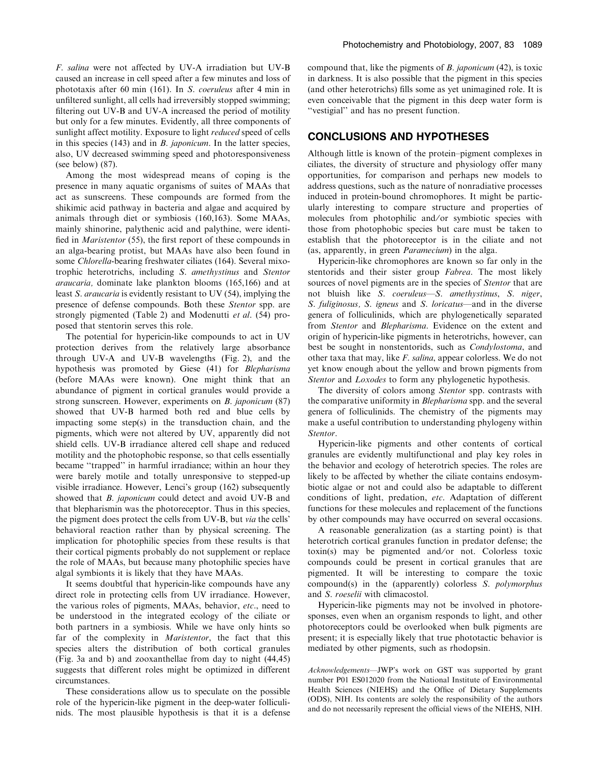*F. salina* were not affected by UV-A irradiation but UV-B caused an increase in cell speed after a few minutes and loss of phototaxis after 60 min (161). In *S. coeruleus* after 4 min in unfiltered sunlight, all cells had irreversibly stopped swimming; filtering out UV-B and UV-A increased the period of motility but only for a few minutes. Evidently, all three components of sunlight affect motility. Exposure to light *reduced* speed of cells in this species (143) and in *B. japonicum*. In the latter species, also, UV decreased swimming speed and photoresponsiveness (see below) (87).

Among the most widespread means of coping is the presence in many aquatic organisms of suites of MAAs that act as sunscreens. These compounds are formed from the shikimic acid pathway in bacteria and algae and acquired by animals through diet or symbiosis (160,163). Some MAAs, mainly shinorine, palythenic acid and palythine, were identified in *Maristentor* (55), the first report of these compounds in an alga-bearing protist, but MAAs have also been found in some *Chlorella*-bearing freshwater ciliates (164). Several mixotrophic heterotrichs, including *S. amethystinus* and *Stentor araucaria,* dominate lake plankton blooms (165,166) and at least *S. araucaria* is evidently resistant to UV (54), implying the presence of defense compounds. Both these *Stentor* spp. are strongly pigmented (Table 2) and Modenutti *et al.* (54) proposed that stentorin serves this role.

The potential for hypericin-like compounds to act in UV protection derives from the relatively large absorbance through UV-A and UV-B wavelengths (Fig. 2), and the hypothesis was promoted by Giese (41) for *Blepharisma* (before MAAs were known). One might think that an abundance of pigment in cortical granules would provide a strong sunscreen. However, experiments on *B. japonicum* (87) showed that UV-B harmed both red and blue cells by impacting some step(s) in the transduction chain, and the pigments, which were not altered by UV, apparently did not shield cells. UV-B irradiance altered cell shape and reduced motility and the photophobic response, so that cells essentially became ''trapped'' in harmful irradiance; within an hour they were barely motile and totally unresponsive to stepped-up visible irradiance. However, Lenci's group (162) subsequently showed that *B. japonicum* could detect and avoid UV-B and that blepharismin was the photoreceptor. Thus in this species, the pigment does protect the cells from UV-B, but *via* the cells' behavioral reaction rather than by physical screening. The implication for photophilic species from these results is that their cortical pigments probably do not supplement or replace the role of MAAs, but because many photophilic species have algal symbionts it is likely that they have MAAs.

It seems doubtful that hypericin-like compounds have any direct role in protecting cells from UV irradiance. However, the various roles of pigments, MAAs, behavior, *etc*., need to be understood in the integrated ecology of the ciliate or both partners in a symbiosis. While we have only hints so far of the complexity in *Maristentor*, the fact that this species alters the distribution of both cortical granules (Fig. 3a and b) and zooxanthellae from day to night (44,45) suggests that different roles might be optimized in different circumstances.

These considerations allow us to speculate on the possible role of the hypericin-like pigment in the deep-water folliculinids. The most plausible hypothesis is that it is a defense compound that, like the pigments of *B. japonicum* (42), is toxic in darkness. It is also possible that the pigment in this species (and other heterotrichs) fills some as yet unimagined role. It is even conceivable that the pigment in this deep water form is ''vestigial'' and has no present function.

# CONCLUSIONS AND HYPOTHESES

Although little is known of the protein–pigment complexes in ciliates, the diversity of structure and physiology offer many opportunities, for comparison and perhaps new models to address questions, such as the nature of nonradiative processes induced in protein-bound chromophores. It might be particularly interesting to compare structure and properties of molecules from photophilic and/or symbiotic species with those from photophobic species but care must be taken to establish that the photoreceptor is in the ciliate and not (as, apparently, in green *Paramecium*) in the alga.

Hypericin-like chromophores are known so far only in the stentorids and their sister group *Fabrea*. The most likely sources of novel pigments are in the species of *Stentor* that are not bluish like *S. coeruleus—S. amethystinus*, *S. niger*, *S. fuliginosus, S. igneus* and *S. loricatus*—and in the diverse genera of folliculinids, which are phylogenetically separated from *Stentor* and *Blepharisma*. Evidence on the extent and origin of hypericin-like pigments in heterotrichs, however, can best be sought in nonstentorids, such as *Condylostoma*, and other taxa that may, like *F. salina*, appear colorless. We do not yet know enough about the yellow and brown pigments from *Stentor* and *Loxodes* to form any phylogenetic hypothesis.

The diversity of colors among *Stentor* spp. contrasts with the comparative uniformity in *Blepharisma* spp. and the several genera of folliculinids. The chemistry of the pigments may make a useful contribution to understanding phylogeny within *Stentor*.

Hypericin-like pigments and other contents of cortical granules are evidently multifunctional and play key roles in the behavior and ecology of heterotrich species. The roles are likely to be affected by whether the ciliate contains endosymbiotic algae or not and could also be adaptable to different conditions of light, predation, *etc*. Adaptation of different functions for these molecules and replacement of the functions by other compounds may have occurred on several occasions.

A reasonable generalization (as a starting point) is that heterotrich cortical granules function in predator defense; the toxin(s) may be pigmented and/or not. Colorless toxic compounds could be present in cortical granules that are pigmented. It will be interesting to compare the toxic compound(s) in the (apparently) colorless *S. polymorphus* and *S. roeselii* with climacostol.

Hypericin-like pigments may not be involved in photoresponses, even when an organism responds to light, and other photoreceptors could be overlooked when bulk pigments are present; it is especially likely that true phototactic behavior is mediated by other pigments, such as rhodopsin.

*Acknowledgements—*JWP's work on GST was supported by grant number P01 ES012020 from the National Institute of Environmental Health Sciences (NIEHS) and the Office of Dietary Supplements (ODS), NIH. Its contents are solely the responsibility of the authors and do not necessarily represent the official views of the NIEHS, NIH.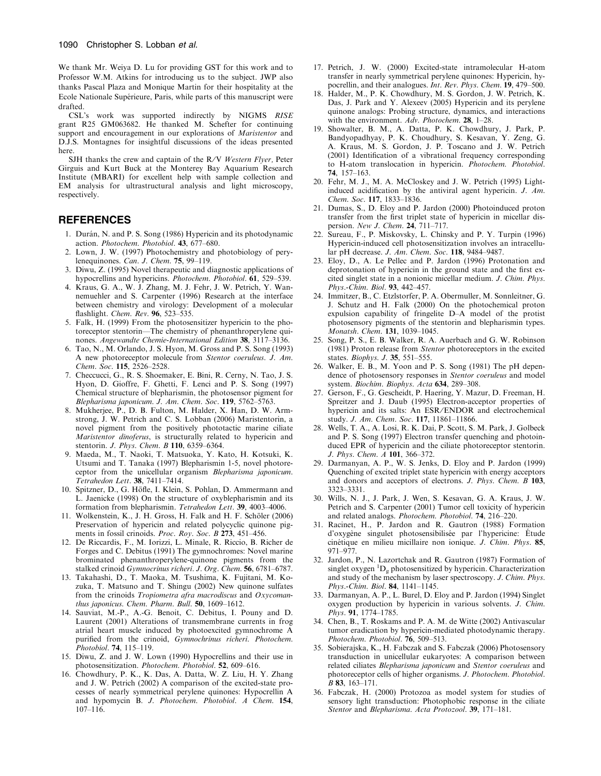We thank Mr. Weiya D. Lu for providing GST for this work and to Professor W.M. Atkins for introducing us to the subject. JWP also thanks Pascal Plaza and Monique Martin for their hospitality at the Ecole Nationale Supérieure, Paris, while parts of this manuscript were drafted.

CSL's work was supported indirectly by NIGMS *RISE* grant R25 GM063682. He thanked M. Schefter for continuing support and encouragement in our explorations of *Maristentor* and D.J.S. Montagnes for insightful discussions of the ideas presented here.

SJH thanks the crew and captain of the R/V *Western Flyer*, Peter Girguis and Kurt Buck at the Monterey Bay Aquarium Research Institute (MBARI) for excellent help with sample collection and EM analysis for ultrastructural analysis and light microscopy, respectively.

# **REFERENCES**

- 1. Durán, N. and P. S. Song (1986) Hypericin and its photodynamic action. *Photochem. Photobiol.* 43, 677–680.
- 2. Lown, J. W. (1997) Photochemistry and photobiology of perylenequinones. *Can. J. Chem.* 75, 99–119.
- 3. Diwu, Z. (1995) Novel therapeutic and diagnostic applications of hypocrellins and hypericins. *Photochem. Photobiol.* 61, 529–539.
- 4. Kraus, G. A., W. J. Zhang, M. J. Fehr, J. W. Petrich, Y. Wannemuehler and S. Carpenter (1996) Research at the interface between chemistry and virology: Development of a molecular flashlight. *Chem. Rev.* 96, 523–535.
- 5. Falk, H. (1999) From the photosensitizer hypericin to the photoreceptor stentorin—The chemistry of phenanthroperylene quinones. *Angewandte Chemie-International Edition* 38, 3117–3136.
- 6. Tao, N., M. Orlando, J. S. Hyon, M. Gross and P. S. Song (1993) A new photoreceptor molecule from *Stentor coeruleus*. *J. Am. Chem. Soc.* 115, 2526–2528.
- 7. Checcucci, G., R. S. Shoemaker, E. Bini, R. Cerny, N. Tao, J. S. Hyon, D. Gioffre, F. Ghetti, F. Lenci and P. S. Song (1997) Chemical structure of blepharismin, the photosensor pigment for *Blepharisma japonicum*. *J. Am. Chem. Soc.* 119, 5762–5763.
- 8. Mukherjee, P., D. B. Fulton, M. Halder, X. Han, D. W. Armstrong, J. W. Petrich and C. S. Lobban (2006) Maristentorin, a novel pigment from the positively phototactic marine ciliate *Maristentor dinoferus*, is structurally related to hypericin and stentorin. *J. Phys. Chem. B* 110, 6359–6364.
- 9. Maeda, M., T. Naoki, T. Matsuoka, Y. Kato, H. Kotsuki, K. Utsumi and T. Tanaka (1997) Blepharismin 1-5, novel photoreceptor from the unicellular organism *Blepharisma japonicum*. *Tetrahedon Lett.* 38, 7411–7414.
- 10. Spitzner, D., G. Höfle, I. Klein, S. Pohlan, D. Ammermann and L. Jaenicke (1998) On the structure of oxyblepharismin and its formation from blepharismin. *Tetrahedon Lett.* 39, 4003–4006.
- 11. Wolkenstein, K., J. H. Gross, H. Falk and H. F. Schöler (2006) Preservation of hypericin and related polycyclic quinone pigments in fossil crinoids. *Proc. Roy. Soc. B* 273, 451–456.
- 12. De Riccardis, F., M. Iorizzi, L. Minale, R. Riccio, B. Richer de Forges and C. Debitus (1991) The gymnochromes: Novel marine brominated phenanthroperylene-quinone pigments from the stalked crinoid *Gymnocrinus richeri*. *J. Org. Chem.* 56, 6781–6787.
- 13. Takahashi, D., T. Maoka, M. Tsushima, K. Fujitani, M. Kozuka, T. Matsuno and T. Shingu (2002) New quinone sulfates from the crinoids *Tropiometra afra macrodiscus* and *Oxycomanthus japonicus*. *Chem. Pharm. Bull.* 50, 1609–1612.
- 14. Sauviat, M.-P., A.-G. Benoit, C. Debitus, I. Pouny and D. Laurent (2001) Alterations of transmembrane currents in frog atrial heart muscle induced by photoexcited gymnochrome A purified from the crinoid, *Gymnochrinus richeri*. *Photochem. Photobiol.* 74, 115–119.
- 15. Diwu, Z. and J. W. Lown (1990) Hypocrellins and their use in photosensitization. *Photochem. Photobiol.* 52, 609–616.
- 16. Chowdhury, P. K., K. Das, A. Datta, W. Z. Liu, H. Y. Zhang and J. W. Petrich (2002) A comparison of the excited-state processes of nearly symmetrical perylene quinones: Hypocrellin A and hypomycin B. *J. Photochem. Photobiol. A Chem.* 154, 107–116.
- 17. Petrich, J. W. (2000) Excited-state intramolecular H-atom transfer in nearly symmetrical perylene quinones: Hypericin, hypocrellin, and their analogues. *Int. Rev. Phys. Chem.* 19, 479–500.
- 18. Halder, M., P. K. Chowdhury, M. S. Gordon, J. W. Petrich, K. Das, J. Park and Y. Alexeev (2005) Hypericin and its perylene quinone analogs: Probing structure, dynamics, and interactions with the environment. *Adv. Photochem.* 28, 1–28.
- 19. Showalter, B. M., A. Datta, P. K. Chowdhury, J. Park, P. Bandyopadhyay, P. K. Choudhury, S. Kesavan, Y. Zeng, G. A. Kraus, M. S. Gordon, J. P. Toscano and J. W. Petrich (2001) Identification of a vibrational frequency corresponding to H-atom translocation in hypericin. *Photochem. Photobiol.* 74, 157–163.
- 20. Fehr, M. J., M. A. McCloskey and J. W. Petrich (1995) Lightinduced acidification by the antiviral agent hypericin. *J. Am. Chem. Soc.* 117, 1833–1836.
- 21. Dumas, S., D. Eloy and P. Jardon (2000) Photoinduced proton transfer from the first triplet state of hypericin in micellar dispersion. *New J. Chem.* 24, 711–717.
- 22. Sureau, F., P. Miskovsky, L. Chinsky and P. Y. Turpin (1996) Hypericin-induced cell photosensitization involves an intracellular pH decrease. *J. Am. Chem. Soc.* 118, 9484–9487.
- 23. Eloy, D., A. Le Pellec and P. Jardon (1996) Protonation and deprotonation of hypericin in the ground state and the first excited singlet state in a nonionic micellar medium. *J. Chim. Phys. Phys.-Chim. Biol.* 93, 442–457.
- 24. Immitzer, B., C. Etzlstorfer, P. A. Obermuller, M. Sonnleitner, G. J. Schutz and H. Falk (2000) On the photochemical proton expulsion capability of fringelite D–A model of the protist photosensory pigments of the stentorin and blepharismin types. *Monatsh. Chem.* 131, 1039–1045.
- 25. Song, P. S., E. B. Walker, R. A. Auerbach and G. W. Robinson (1981) Proton release from *Stentor* photoreceptors in the excited states. *Biophys. J.* 35, 551–555.
- 26. Walker, E. B., M. Yoon and P. S. Song (1981) The pH dependence of photosensory responses in *Stentor coeruleus* and model system. *Biochim. Biophys. Acta* 634, 289–308.
- 27. Gerson, F., G. Gescheidt, P. Haering, Y. Mazur, D. Freeman, H. Spreitzer and J. Daub (1995) Electron-acceptor properties of hypericin and its salts: An ESR/ENDOR and electrochemical study. *J. Am. Chem. Soc.* 117, 11861–11866.
- 28. Wells, T. A., A. Losi, R. K. Dai, P. Scott, S. M. Park, J. Golbeck and P. S. Song (1997) Electron transfer quenching and photoinduced EPR of hypericin and the ciliate photoreceptor stentorin. *J. Phys. Chem. A* 101, 366–372.
- 29. Darmanyan, A. P., W. S. Jenks, D. Eloy and P. Jardon (1999) Quenching of excited triplet state hypericin with energy acceptors and donors and acceptors of electrons. *J. Phys. Chem. B* 103, 3323–3331.
- 30. Wills, N. J., J. Park, J. Wen, S. Kesavan, G. A. Kraus, J. W. Petrich and S. Carpenter (2001) Tumor cell toxicity of hypericin and related analogs. *Photochem. Photobiol.* 74, 216–220.
- 31. Racinet, H., P. Jardon and R. Gautron (1988) Formation d'oxygène singulet photosensibilisée par l'hypericine: Étude cine´tique en milieu micillaire non ionique. *J. Chim. Phys.* 85, 971–977.
- 32. Jardon, P., N. Lazortchak and R. Gautron (1987) Formation of singlet oxygen  ${}^{1}D_{\varphi}$  photosensitized by hypericin. Characterization and study of the mechanism by laser spectroscopy. *J. Chim. Phys. Phys.-Chim. Biol.* 84, 1141–1145.
- 33. Darmanyan, A. P., L. Burel, D. Eloy and P. Jardon (1994) Singlet oxygen production by hypericin in various solvents. *J. Chim. Phys.* 91, 1774–1785.
- 34. Chen, B., T. Roskams and P. A. M. de Witte (2002) Antivascular tumor eradication by hypericin-mediated photodynamic therapy. *Photochem. Photobiol.* 76, 509–513.
- 35. Sobierajska, K., H. Fabczak and S. Fabczak (2006) Photosensory transduction in unicellular eukaryotes: A comparison between related ciliates *Blepharisma japonicum* and *Stentor coeruleus* and photoreceptor cells of higher organisms. *J. Photochem. Photobiol. B* 83, 163–171.
- 36. Fabczak, H. (2000) Protozoa as model system for studies of sensory light transduction: Photophobic response in the ciliate *Stentor* and *Blepharisma*. *Acta Protozool.* 39, 171–181.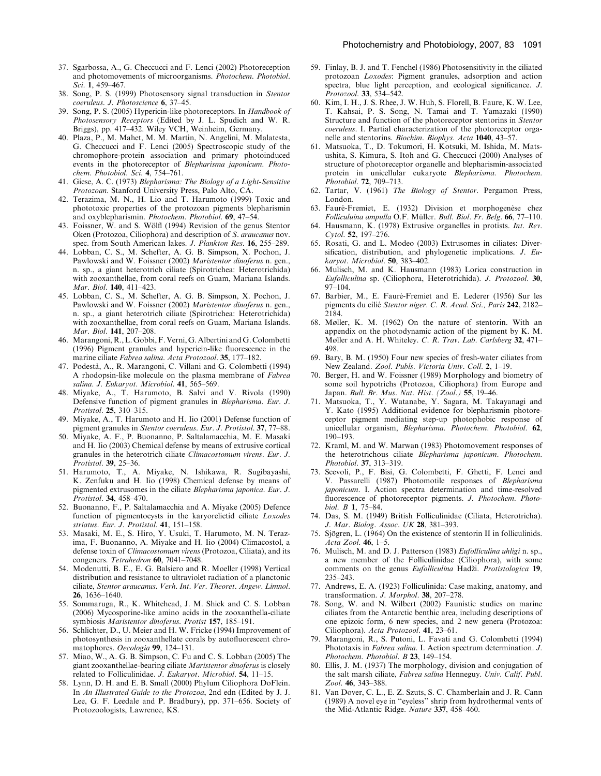- 37. Sgarbossa, A., G. Checcucci and F. Lenci (2002) Photoreception and photomovements of microorganisms. *Photochem. Photobiol. Sci.* 1, 459–467.
- 38. Song, P. S. (1999) Photosensory signal transduction in *Stentor coeruleus*. *J. Photoscience* 6, 37–45.
- 39. Song, P. S. (2005) Hypericin-like photoreceptors. In *Handbook of Photosensory Receptors* (Edited by J. L. Spudich and W. R. Briggs), pp. 417–432. Wiley VCH, Weinheim, Germany.
- 40. Plaza, P., M. Mahet, M. M. Martin, N. Angelini, M. Malatesta, G. Checcucci and F. Lenci (2005) Spectroscopic study of the chromophore-protein association and primary photoinduced events in the photoreceptor of *Blepharisma japonicum*. *Photochem. Photobiol. Sci.* 4, 754–761.
- 41. Giese, A. C. (1973) *Blepharisma: The Biology of a Light-Sensitive Protozoan*. Stanford University Press, Palo Alto, CA.
- 42. Terazima, M. N., H. Lio and T. Harumoto (1999) Toxic and phototoxic properties of the protozoan pigments blepharismin and oxyblepharismin. *Photochem. Photobiol.* 69, 47–54.
- 43. Foissner, W. and S. Wölfl (1994) Revision of the genus Stentor Oken (Protozoa, Ciliophora) and description of *S. araucanus* nov. spec. from South American lakes. *J. Plankton Res.* 16, 255–289.
- 44. Lobban, C. S., M. Schefter, A. G. B. Simpson, X. Pochon, J. Pawlowski and W. Foissner (2002) *Maristentor dinoferus* n. gen., n. sp., a giant heterotrich ciliate (Spirotrichea: Heterotrichida) with zooxanthellae, from coral reefs on Guam, Mariana Islands. *Mar. Biol.* 140, 411–423.
- 45. Lobban, C. S., M. Schefter, A. G. B. Simpson, X. Pochon, J. Pawlowski and W. Foissner (2002) *Maristentor dinoferus* n. gen., n. sp., a giant heterotrich ciliate (Spirotrichea: Heterotrichida) with zooxanthellae, from coral reefs on Guam, Mariana Islands. *Mar. Biol.* 141, 207–208.
- 46. Marangoni, R., L. Gobbi, F. Verni, G. Albertini and G. Colombetti (1996) Pigment granules and hypericin-like fluorescence in the marine ciliate *Fabrea salina*. *Acta Protozool.* 35, 177–182.
- 47. Podesta`, A., R. Marangoni, C. Villani and G. Colombetti (1994) A rhodopsin-like molecule on the plasma membrane of *Fabrea salina*. *J. Eukaryot. Microbiol.* 41, 565–569.
- 48. Miyake, A., T. Harumoto, B. Salvi and V. Rivola (1990) Defensive function of pigment granules in *Blepharisma*. *Eur. J. Protistol.* 25, 310–315.
- 49. Miyake, A., T. Harumoto and H. Iio (2001) Defense function of pigment granules in *Stentor coeruleus*. *Eur. J. Protistol.* 37, 77–88.
- 50. Miyake, A. F., P. Buonanno, P. Saltalamacchia, M. E. Masaki and H. Iio (2003) Chemical defense by means of extrusive cortical granules in the heterotrich ciliate *Climacostomum virens*. *Eur. J. Protistol.* 39, 25–36.
- 51. Harumoto, T., A. Miyake, N. Ishikawa, R. Sugibayashi, K. Zenfuku and H. Iio (1998) Chemical defense by means of pigmented extrusomes in the ciliate *Blepharisma japonica*. *Eur. J. Protistol.* 34, 458–470.
- 52. Buonanno, F., P. Saltalamacchia and A. Miyake (2005) Defence function of pigmentocysts in the karyorelictid ciliate *Loxodes striatus*. *Eur. J. Protistol.* 41, 151–158.
- 53. Masaki, M. E., S. Hiro, Y. Usuki, T. Harumoto, M. N. Terazima, F. Buonanno, A. Miyake and H. Iio (2004) Climacostol, a defense toxin of *Climacostomum virens* (Protozoa, Ciliata), and its congeners. *Tetrahedron* 60, 7041–7048.
- 54. Modenutti, B. E., E. G. Balsiero and R. Moeller (1998) Vertical distribution and resistance to ultraviolet radiation of a planctonic ciliate, *Stentor araucanus*. *Verh. Int. Ver. Theoret. Angew. Limnol.* 26, 1636–1640.
- 55. Sommaruga, R., K. Whitehead, J. M. Shick and C. S. Lobban (2006) Mycosporine-like amino acids in the zooxanthella-ciliate symbiosis *Maristentor dinoferus*. *Protist* 157, 185–191.
- 56. Schlichter, D., U. Meier and H. W. Fricke (1994) Improvement of photosynthesis in zooxanthellate corals by autofluorescent chromatophores. *Oecologia* 99, 124–131.
- 57. Miao, W., A. G. B. Simpson, C. Fu and C. S. Lobban (2005) The giant zooxanthellae-bearing ciliate *Maristentor dinoferus* is closely related to Folliculinidae. *J. Eukaryot. Microbiol.* 54, 11–15.
- 58. Lynn, D. H. and E. B. Small (2000) Phylum Ciliophora DoFlein. In *An Illustrated Guide to the Protozoa*, 2nd edn (Edited by J. J. Lee, G. F. Leedale and P. Bradbury), pp. 371–656. Society of Protozoologists, Lawrence, KS.
- 59. Finlay, B. J. and T. Fenchel (1986) Photosensitivity in the ciliated protozoan *Loxodes*: Pigment granules, adsorption and action spectra, blue light perception, and ecological significance. *J. Protozool.* 33, 534–542.
- 60. Kim, I. H., J. S. Rhee, J. W. Huh, S. Florell, B. Faure, K. W. Lee, T. Kahsai, P. S. Song, N. Tamai and T. Yamazaki (1990) Structure and function of the photoreceptor stentorins in *Stentor coeruleus.* I. Partial characterization of the photoreceptor organelle and stentorins. *Biochim. Biophys. Acta* 1040, 43–57.
- 61. Matsuoka, T., D. Tokumori, H. Kotsuki, M. Ishida, M. Matsushita, S. Kimura, S. Itoh and G. Checcucci (2000) Analyses of structure of photoreceptor organelle and blepharismin-associated protein in unicellular eukaryote *Blepharisma*. *Photochem. Photobiol.* 72, 709–713.
- 62. Tartar, V. (1961) *The Biology of Stentor*. Pergamon Press, London.
- 63. Fauré-Fremiet, E. (1932) Division et morphogenèse chez *Folliculuina ampulla* O.F. Mu¨ller. *Bull. Biol. Fr. Belg.* 66, 77–110.
- 64. Hausmann, K. (1978) Extrusive organelles in protists. *Int. Rev. Cytol.* 52, 197–276.
- 65. Rosati, G. and L. Modeo (2003) Extrusomes in ciliates: Diversification, distribution, and phylogenetic implications. *J. Eukaryot. Microbiol.* 50, 383–402.
- 66. Mulisch, M. and K. Hausmann (1983) Lorica construction in *Eufolliculina* sp. (Ciliophora, Heterotrichida). *J. Protozool.* 30,  $97-104$
- 67. Barbier, M., E. Fauré-Fremiet and E. Lederer (1956) Sur les pigments du cilie´ *Stentor niger*. *C. R. Acad. Sci., Paris* 242, 2182– 2184.
- 68. Møller, K. M. (1962) On the nature of stentorin. With an appendix on the photodynamic action of the pigment by K. M. Møller and A. H. Whiteley. *C. R. Trav. Lab. Carlsberg* 32, 471– 498.
- 69. Bary, B. M. (1950) Four new species of fresh-water ciliates from New Zealand. *Zool. Publs. Victoria Univ. Coll.* 2, 1–19.
- 70. Berger, H. and W. Foissner (1989) Morphology and biometry of some soil hypotrichs (Protozoa, Ciliophora) from Europe and Japan. *Bull. Br. Mus. Nat. Hist. (Zool.)* 55, 19–46.
- 71. Matsuoka, T., Y. Watanabe, Y. Sagara, M. Takayanagi and Y. Kato (1995) Additional evidence for blepharismin photoreceptor pigment mediating step-up photophobic response of unicellular organism, *Blepharisma*. *Photochem. Photobiol.* 62, 190–193.
- 72. Kraml, M. and W. Marwan (1983) Photomovement responses of the heterotrichous ciliate *Blepharisma japonicum*. *Photochem. Photobiol.* 37, 313–319.
- 73. Scevoli, P., F. Bisi, G. Colombetti, F. Ghetti, F. Lenci and V. Passarelli (1987) Photomotile responses of *Blepharisma japonicum.* I. Action spectra determination and time-resolved fluorescence of photoreceptor pigments. *J. Photochem. Photobiol. B* 1, 75–84.
- 74. Das, S. M. (1949) British Folliculinidae (Ciliata, Heterotricha). *J. Mar. Biolog. Assoc. UK* 28, 381–393.
- 75. Sjögren, L. (1964) On the existence of stentorin II in folliculinids. *Acta Zool.* 46, 1–5.
- 76. Mulisch, M. and D. J. Patterson (1983) *Eufolliculina uhligi* n. sp., a new member of the Folliculinidae (Ciliophora), with some comments on the genus *Eufolliculina* Hadži. *Protistologica* 19, 235–243.
- 77. Andrews, E. A. (1923) Folliculinida: Case making, anatomy, and transformation. *J. Morphol.* 38, 207–278.
- 78. Song, W. and N. Wilbert (2002) Faunistic studies on marine ciliates from the Antarctic benthic area, including descriptions of one epizoic form, 6 new species, and 2 new genera (Protozoa: Ciliophora). *Acta Protozool.* 41, 23–61.
- 79. Marangoni, R., S. Putoni, L. Favati and G. Colombetti (1994) Phototaxis in *Fabrea salina.* I. Action spectrum determination. *J. Photochem. Photobiol. B* 23, 149–154.
- 80. Ellis, J. M. (1937) The morphology, division and conjugation of the salt marsh ciliate, *Fabrea salina* Henneguy. *Univ. Calif. Publ. Zool.* 46, 343–388.
- 81. Van Dover, C. L., E. Z. Szuts, S. C. Chamberlain and J. R. Cann (1989) A novel eye in ''eyeless'' shrip from hydrothermal vents of the Mid-Atlantic Ridge. *Nature* 337, 458–460.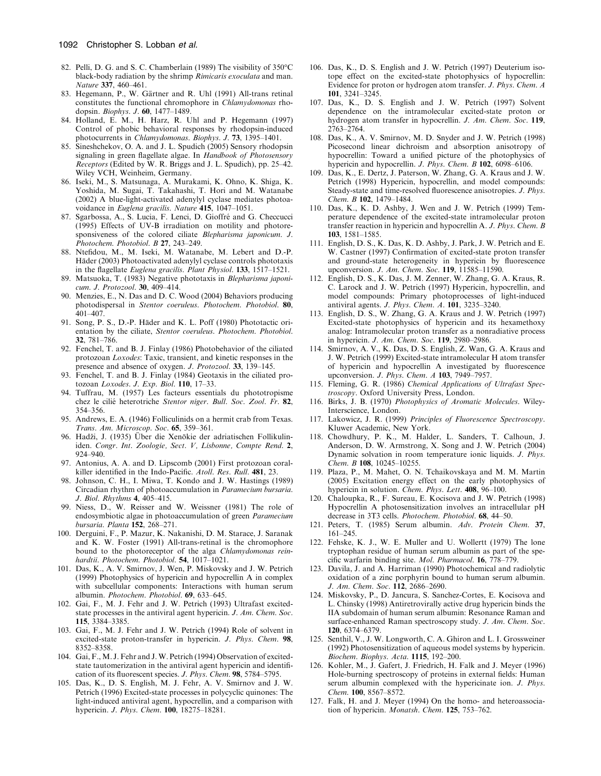- 82. Pelli, D. G. and S. C. Chamberlain (1989) The visibility of  $350^{\circ}$ C black-body radiation by the shrimp *Rimicaris exoculata* and man. *Nature* 337, 460–461.
- 83. Hegemann, P., W. Gärtner and R. Uhl (1991) All-trans retinal constitutes the functional chromophore in *Chlamydomonas* rhodopsin. *Biophys. J.* 60, 1477–1489.
- 84. Holland, E. M., H. Harz, R. Uhl and P. Hegemann (1997) Control of phobic behavioral responses by rhodopsin-induced photocurrents in *Chlamydomonas*. *Biophys. J.* 73, 1395–1401.
- 85. Sineshchekov, O. A. and J. L. Spudich (2005) Sensory rhodopsin signaling in green flagellate algae. In *Handbook of Photosensory Receptors* (Edited by W. R. Briggs and J. L. Spudich), pp. 25–42. Wiley VCH, Weinheim, Germany.
- 86. Iseki, M., S. Matsunaga, A. Murakami, K. Ohno, K. Shiga, K. Yoshida, M. Sugai, T. Takahashi, T. Hori and M. Watanabe (2002) A blue-light-activated adenylyl cyclase mediates photoavoidance in *Euglena gracilis*. *Nature* 415, 1047–1051.
- 87. Sgarbossa, A., S. Lucia, F. Lenci, D. Gioffré and G. Checcucci (1995) Effects of UV-B irradiation on motility and photoresponsiveness of the colored ciliate *Blepharisma japonicum*. *J. Photochem. Photobiol. B* 27, 243–249.
- 88. Ntefidou, M., M. Iseki, M. Watanabe, M. Lebert and D.-P. Häder (2003) Photoactivated adenylyl cyclase controls phototaxis in the flagellate *Euglena gracilis*. *Plant Physiol.* 133, 1517–1521.
- 89. Matsuoka, T. (1983) Negative phototaxis in *Blepharisma japonicum*. *J. Protozool.* 30, 409–414.
- 90. Menzies, E., N. Das and D. C. Wood (2004) Behaviors producing photodispersal in *Stentor coeruleus*. *Photochem. Photobiol.* 80, 401–407.
- 91. Song, P. S., D.-P. Häder and K. L. Poff (1980) Phototactic orientation by the ciliate, *Stentor coeruleus*. *Photochem. Photobiol.* 32, 781–786.
- 92. Fenchel, T. and B. J. Finlay (1986) Photobehavior of the ciliated protozoan *Loxodes*: Taxic, transient, and kinetic responses in the presence and absence of oxygen. *J. Protozool.* 33, 139–145.
- 93. Fenchel, T. and B. J. Finlay (1984) Geotaxis in the ciliated protozoan *Loxodes*. *J. Exp. Biol.* 110, 17–33.
- 94. Tuffrau, M. (1957) Les facteurs essentials du phototropisme chez le cilie´ heterotriche *Stentor niger*. *Bull. Soc. Zool. Fr.* 82, 354–356.
- 95. Andrews, E. A. (1946) Folliculinids on a hermit crab from Texas. *Trans. Am. Microscop. Soc.* 65, 359–361.
- 96. Hadži, J. (1935) Über die Xenökie der adriatischen Follikuliniden. *Congr. Int. Zoologie, Sect. V, Lisbonne, Compte Rend.* 2, 924–940.
- 97. Antonius, A. A. and D. Lipscomb (2001) First protozoan coralkiller identified in the Indo-Pacific. *Atoll. Res. Rull.* 481, 23.
- 98. Johnson, C. H., I. Miwa, T. Kondo and J. W. Hastings (1989) Circadian rhythm of photoaccumulation in *Paramecium bursaria*. *J. Biol. Rhythms* 4, 405–415.
- 99. Niess, D., W. Reisser and W. Weissner (1981) The role of endosymbiotic algae in photoaccumulation of green *Paramecium bursaria*. *Planta* 152, 268–271.
- 100. Derguini, F., P. Mazur, K. Nakanishi, D. M. Starace, J. Saranak and K. W. Foster (1991) All-trans-retinal is the chromophore bound to the photoreceptor of the alga *Chlamydomonas reinhardtii*. *Photochem. Photobiol.* 54, 1017–1021.
- 101. Das, K., A. V. Smirnov, J. Wen, P. Miskovsky and J. W. Petrich (1999) Photophysics of hypericin and hypocrellin A in complex with subcellular components: Interactions with human serum albumin. *Photochem. Photobiol.* 69, 633–645.
- 102. Gai, F., M. J. Fehr and J. W. Petrich (1993) Ultrafast excitedstate processes in the antiviral agent hypericin. *J. Am. Chem. Soc.* 115, 3384–3385.
- 103. Gai, F., M. J. Fehr and J. W. Petrich (1994) Role of solvent in excited-state proton-transfer in hypericin. *J. Phys. Chem.* 98, 8352–8358.
- 104. Gai, F., M. J. Fehr and J. W. Petrich (1994) Observation of excitedstate tautomerization in the antiviral agent hypericin and identification of its fluorescent species. *J. Phys. Chem.* 98, 5784–5795.
- 105. Das, K., D. S. English, M. J. Fehr, A. V. Smirnov and J. W. Petrich (1996) Excited-state processes in polycyclic quinones: The light-induced antiviral agent, hypocrellin, and a comparison with hypericin. *J. Phys. Chem.* 100, 18275–18281.
- 106. Das, K., D. S. English and J. W. Petrich (1997) Deuterium isotope effect on the excited-state photophysics of hypocrellin: Evidence for proton or hydrogen atom transfer. *J. Phys. Chem. A* 101, 3241–3245.
- 107. Das, K., D. S. English and J. W. Petrich (1997) Solvent dependence on the intramolecular excited-state proton or hydrogen atom transfer in hypocrellin. *J. Am. Chem. Soc.* 119, 2763–2764.
- 108. Das, K., A. V. Smirnov, M. D. Snyder and J. W. Petrich (1998) Picosecond linear dichroism and absorption anisotropy of hypocrellin: Toward a unified picture of the photophysics of hypericin and hypocrellin. *J. Phys. Chem. B* 102, 6098–6106.
- 109. Das, K., E. Dertz, J. Paterson, W. Zhang, G. A. Kraus and J. W. Petrich (1998) Hypericin, hypocrellin, and model compounds: Steady-state and time-resolved fluorescence anisotropies. *J. Phys. Chem. B* 102, 1479–1484.
- 110. Das, K., K. D. Ashby, J. Wen and J. W. Petrich (1999) Temperature dependence of the excited-state intramolecular proton transfer reaction in hypericin and hypocrellin A. *J. Phys. Chem. B* 103, 1581–1585.
- 111. English, D. S., K. Das, K. D. Ashby, J. Park, J. W. Petrich and E. W. Castner (1997) Confirmation of excited-state proton transfer and ground-state heterogeneity in hypericin by fluorescence upconversion. *J. Am. Chem. Soc.* 119, 11585–11590.
- 112. English, D. S., K. Das, J. M. Zenner, W. Zhang, G. A. Kraus, R. C. Larock and J. W. Petrich (1997) Hypericin, hypocrellin, and model compounds: Primary photoprocesses of light-induced antiviral agents. *J. Phys. Chem. A.* 101, 3235–3240.
- 113. English, D. S., W. Zhang, G. A. Kraus and J. W. Petrich (1997) Excited-state photophysics of hypericin and its hexamethoxy analog: Intramolecular proton transfer as a nonradiative process in hypericin. *J. Am. Chem. Soc.* 119, 2980–2986.
- 114. Smirnov, A. V., K. Das, D. S. English, Z. Wan, G. A. Kraus and J. W. Petrich (1999) Excited-state intramolecular H atom transfer of hypericin and hypocrellin A investigated by fluorescence upconversion. *J. Phys. Chem. A* 103, 7949–7957.
- 115. Fleming, G. R. (1986) *Chemical Applications of Ultrafast Spectroscopy*. Oxford University Press, London.
- 116. Birks, J. B. (1970) *Photophysics of Aromatic Molecules*. Wiley-Interscience, London.
- 117. Lakowicz, J. R. (1999) *Principles of Fluorescence Spectroscopy*. Kluwer Academic, New York.
- 118. Chowdhury, P. K., M. Halder, L. Sanders, T. Calhoun, J. Anderson, D. W. Armstrong, X. Song and J. W. Petrich (2004) Dynamic solvation in room temperature ionic liquids. *J. Phys. Chem. B* 108, 10245–10255.
- 119. Plaza, P., M. Mahet, O. N. Tchaikovskaya and M. M. Martin (2005) Excitation energy effect on the early photophysics of hypericin in solution. *Chem. Phys. Lett.* 408, 96–100.
- 120. Chaloupka, R., F. Sureau, E. Kocisova and J. W. Petrich (1998) Hypocrellin A photosensitization involves an intracellular pH decrease in 3T3 cells. *Photochem. Photobiol.* 68, 44–50.
- 121. Peters, T. (1985) Serum albumin. *Adv. Protein Chem.* 37, 161–245.
- 122. Fehske, K. J., W. E. Muller and U. Wollertt (1979) The lone tryptophan residue of human serum albumin as part of the specific warfarin binding site. *Mol. Pharmacol.* 16, 778–779.
- 123. Davila, J. and A. Harriman (1990) Photochemical and radiolytic oxidation of a zinc porphyrin bound to human serum albumin. *J. Am. Chem. Soc.* 112, 2686–2690.
- 124. Miskovsky, P., D. Jancura, S. Sanchez-Cortes, E. Kocisova and L. Chinsky (1998) Antiretrovirally active drug hypericin binds the IIA subdomain of human serum albumin: Resonance Raman and surface-enhanced Raman spectroscopy study. *J. Am. Chem. Soc.* 120, 6374–6379.
- 125. Senthil, V., J. W. Longworth, C. A. Ghiron and L. I. Grossweiner (1992) Photosensitization of aqueous model systems by hypericin. *Biochem. Biophys. Acta.* 1115, 192–200.
- 126. Kohler, M., J. Gafert, J. Friedrich, H. Falk and J. Meyer (1996) Hole-burning spectroscopy of proteins in external fields: Human serum albumin complexed with the hypericinate ion. *J. Phys. Chem.* 100, 8567–8572.
- 127. Falk, H. and J. Meyer (1994) On the homo- and heteroassociation of hypericin. *Monatsh. Chem.* 125, 753–762.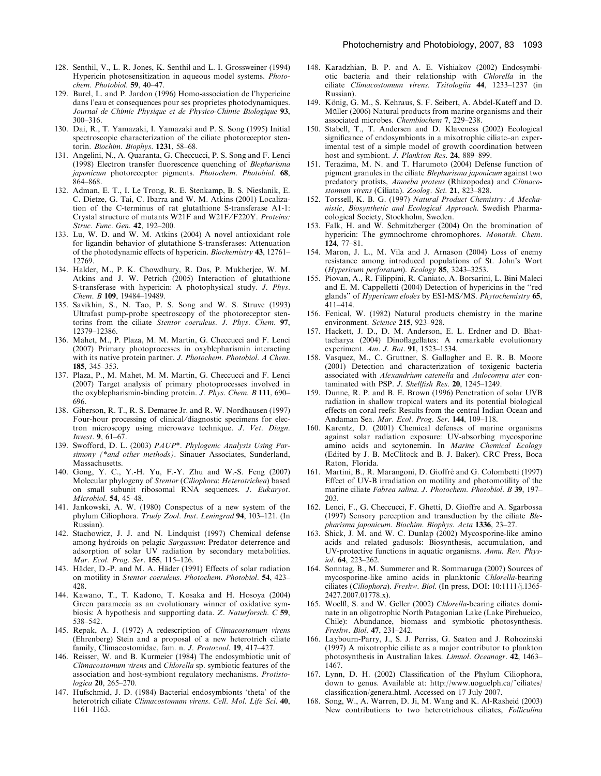- 128. Senthil, V., L. R. Jones, K. Senthil and L. I. Grossweiner (1994) Hypericin photosensitization in aqueous model systems. *Photochem. Photobiol.* 59, 40–47.
- 129. Burel, L. and P. Jardon (1996) Homo-association de l'hypericine dans l'eau et consequences pour ses proprietes photodynamiques. *Journal de Chimie Physique et de Physico-Chimie Biologique* 93, 300–316.
- 130. Dai, R., T. Yamazaki, I. Yamazaki and P. S. Song (1995) Initial spectroscopic characterization of the ciliate photoreceptor stentorin. *Biochim. Biophys.* 1231, 58–68.
- 131. Angelini, N., A. Quaranta, G. Checcucci, P. S. Song and F. Lenci (1998) Electron transfer fluorescence quenching of *Blepharisma japonicum* photoreceptor pigments. *Photochem. Photobiol.* 68, 864–868.
- 132. Adman, E. T., I. Le Trong, R. E. Stenkamp, B. S. Nieslanik, E. C. Dietze, G. Tai, C. Ibarra and W. M. Atkins (2001) Localization of the C-terminus of rat glutathione S-transferase A1-1: Crystal structure of mutants W21F and W21F⁄ F220Y. *Proteins: Struc. Func. Gen.* 42, 192–200.
- 133. Lu, W. D. and W. M. Atkins (2004) A novel antioxidant role for ligandin behavior of glutathione S-transferases: Attenuation of the photodynamic effects of hypericin. *Biochemistry* 43, 12761– 12769.
- 134. Halder, M., P. K. Chowdhury, R. Das, P. Mukherjee, W. M. Atkins and J. W. Petrich (2005) Interaction of glutathione S-transferase with hypericin: A photophysical study. *J. Phys. Chem. B* 109, 19484–19489.
- 135. Savikhin, S., N. Tao, P. S. Song and W. S. Struve (1993) Ultrafast pump-probe spectroscopy of the photoreceptor stentorins from the ciliate *Stentor coeruleus*. *J. Phys. Chem.* 97, 12379–12386.
- 136. Mahet, M., P. Plaza, M. M. Martin, G. Checcucci and F. Lenci (2007) Primary photoprocesses in oxyblepharismin interacting with its native protein partner. *J. Photochem. Photobiol. A Chem.* 185, 345–353.
- 137. Plaza, P., M. Mahet, M. M. Martin, G. Checcucci and F. Lenci (2007) Target analysis of primary photoprocesses involved in the oxyblepharismin-binding protein. *J. Phys. Chem. B* 111, 690– 696.
- 138. Giberson, R. T., R. S. Demaree Jr. and R. W. Nordhausen (1997) Four-hour processing of clinical/diagnostic specimens for electron microscopy using microwave technique. *J. Vet. Diagn. Invest.* 9, 61–67.
- 139. Swofford, D. L. (2003) *PAUP\*. Phylogenic Analysis Using Parsimony (\*and other methods)*. Sinauer Associates, Sunderland, Massachusetts.
- 140. Gong, Y. C., Y.-H. Yu, F.-Y. Zhu and W.-S. Feng (2007) Molecular phylogeny of *Stentor* (*Ciliophora*: *Heterotrichea*) based on small subunit ribosomal RNA sequences. *J. Eukaryot. Microbiol.* 54, 45–48.
- 141. Jankowski, A. W. (1980) Conspectus of a new system of the phylum Ciliophora. *Trudy Zool. Inst. Leningrad* 94, 103–121. (In Russian).
- 142. Stachowicz, J. J. and N. Lindquist (1997) Chemical defense among hydroids on pelagic *Sargassum*: Predator deterrence and adsorption of solar UV radiation by secondary metabolities. *Mar. Ecol. Prog. Ser.* 155, 115–126.
- 143. Häder, D.-P. and M. A. Häder (1991) Effects of solar radiation on motility in *Stentor coeruleus*. *Photochem. Photobiol.* 54, 423– 428.
- 144. Kawano, T., T. Kadono, T. Kosaka and H. Hosoya (2004) Green paramecia as an evolutionary winner of oxidative symbiosis: A hypothesis and supporting data. *Z. Naturforsch. C* 59, 538–542.
- 145. Repak, A. J. (1972) A redescription of *Climacostomum virens* (Ehrenberg) Stein and a proposal of a new heterotrich ciliate family, Climacostomidae, fam. n. *J. Protozool.* 19, 417–427.
- 146. Reisser, W. and B. Kurmeier (1984) The endosymbiotic unit of *Climacostomum virens* and *Chlorella* sp. symbiotic features of the association and host-symbiont regulatory mechanisms. *Protistologica* 20, 265–270.
- 147. Hufschmid, J. D. (1984) Bacterial endosymbionts 'theta' of the heterotrich ciliate *Climacostomum virens*. *Cell. Mol. Life Sci.* 40, 1161–1163.
- 148. Karadzhian, B. P. and A. E. Vishiakov (2002) Endosymbiotic bacteria and their relationship with *Chlorella* in the ciliate *Climacostomum virens*. *Tsitologiia* 44, 1233–1237 (in Russian).
- 149. König, G. M., S. Kehraus, S. F. Seibert, A. Abdel-Kateff and D. Müller (2006) Natural products from marine organisms and their associated microbes. *Chembiochem* 7, 229–238.
- 150. Stabell, T., T. Andersen and D. Klaveness (2002) Ecological significance of endosymbionts in a mixotrophic ciliate–an experimental test of a simple model of growth coordination between host and symbiont. *J. Plankton Res.* 24, 889–899.
- 151. Terazima, M. N. and T. Harumoto (2004) Defense function of pigment granules in the ciliate *Blepharisma japonicum* against two predatory protists, *Amoeba proteus* (Rhizopodea) and *Climacostomum virens* (Ciliata). *Zoolog. Sci.* 21, 823–828.
- 152. Torssell, K. B. G. (1997) *Natural Product Chemistry: A Mechanistic, Biosynthetic and Ecological Approach*. Swedish Pharmacological Society, Stockholm, Sweden.
- 153. Falk, H. and W. Schmitzberger (2004) On the bromination of hypericin: The gymnochrome chromophores. *Monatsh. Chem.* 124, 77–81.
- 154. Maron, J. L., M. Vila and J. Arnason (2004) Loss of enemy resistance among introduced populations of St. John's Wort (*Hypericum perforatum*). *Ecology* 85, 3243–3253.
- 155. Piovan, A., R. Filippini, R. Caniato, A. Borsarini, L. Bini Maleci and E. M. Cappelletti (2004) Detection of hypericins in the ''red glands'' of *Hypericum elodes* by ESI-MS ⁄ MS. *Phytochemistry* 65, 411–414.
- 156. Fenical, W. (1982) Natural products chemistry in the marine environment. *Science* 215, 923–928.
- 157. Hackett, J. D., D. M. Anderson, E. L. Erdner and D. Bhattacharya (2004) Dinoflagellates: A remarkable evolutionary experiment. *Am. J. Bot.* 91, 1523–1534.
- 158. Vasquez, M., C. Gruttner, S. Gallagher and E. R. B. Moore (2001) Detection and characterization of toxigenic bacteria associated with *Alexandrium catenella* and *Aulocomya ater* contaminated with PSP. *J. Shellfish Res.* 20, 1245–1249.
- 159. Dunne, R. P. and B. E. Brown (1996) Penetration of solar UVB radiation in shallow tropical waters and its potential biological effects on coral reefs: Results from the central Indian Ocean and Andaman Sea. *Mar. Ecol. Prog. Ser.* 144, 109–118.
- 160. Karentz, D. (2001) Chemical defenses of marine organisms against solar radiation exposure: UV-absorbing mycosporine amino acids and scytonemin. In *Marine Chemical Ecology* (Edited by J. B. McClitock and B. J. Baker). CRC Press, Boca Raton, Florida.
- 161. Martini, B., R. Marangoni, D. Gioffre´ and G. Colombetti (1997) Effect of UV-B irradiation on motility and photomotility of the marine ciliate *Fabrea salina*. *J. Photochem. Photobiol. B* 39, 197– 203.
- 162. Lenci, F., G. Checcucci, F. Ghetti, D. Gioffre and A. Sgarbossa (1997) Sensory perception and transduction by the ciliate *Blepharisma japonicum*. *Biochim. Biophys. Acta* 1336, 23–27.
- 163. Shick, J. M. and W. C. Dunlap (2002) Mycosporine-like amino acids and related gadusols: Biosynthesis, accumulation, and UV-protective functions in aquatic organisms. *Annu. Rev. Physiol.* 64, 223–262.
- 164. Sonntag, B., M. Summerer and R. Sommaruga (2007) Sources of mycosporine-like amino acids in planktonic *Chlorella*-bearing ciliates (*Ciliophora*). *Freshw. Biol.* (In press, DOI: 10:1111/j.1365- 2427.2007.01778.x).
- 165. Woelfl, S. and W. Geller (2002) *Chlorella*-bearing ciliates dominate in an oligotrophic North Patagonian Lake (Lake Pirehueico, Chile): Abundance, biomass and symbiotic photosynthesis. *Freshw. Biol.* 47, 231–242.
- 166. Laybourn-Parry, J., S. J. Perriss, G. Seaton and J. Rohozinski (1997) A mixotrophic ciliate as a major contributor to plankton photosynthesis in Australian lakes. *Limnol. Oceanogr.* 42, 1463– 1467.
- 167. Lynn, D. H. (2002) Classification of the Phylum Ciliophora, down to genus. Available at: http://www.uoguelph.ca/~ciliates/ classification/genera.html. Accessed on 17 July 2007.
- 168. Song, W., A. Warren, D. Ji, M. Wang and K. Al-Rasheid (2003) New contributions to two heterotrichous ciliates, *Folliculina*